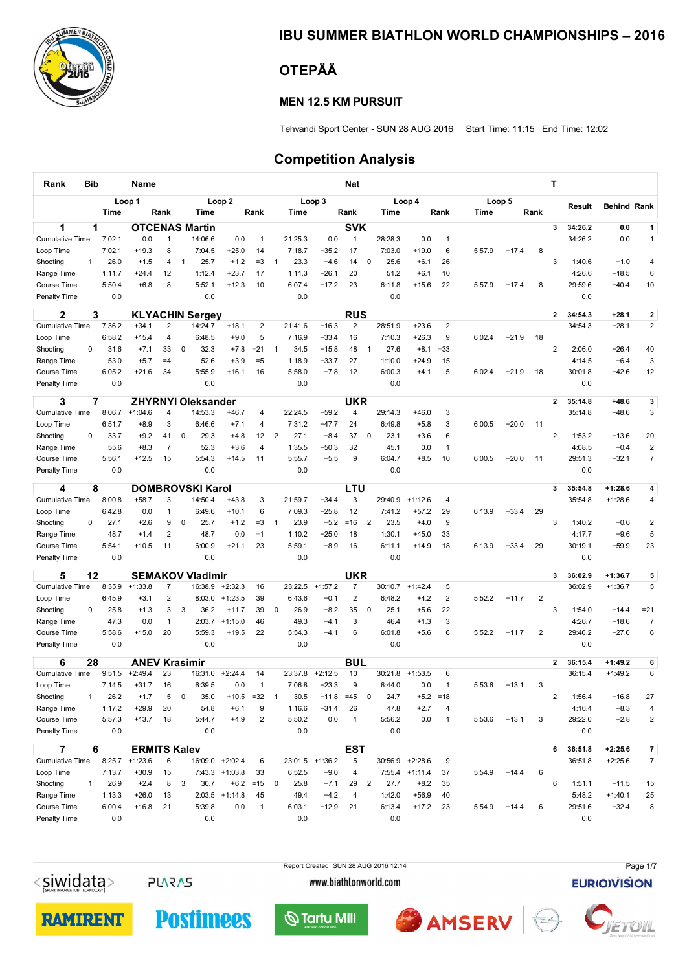

### IBU SUMMER BIATHLON WORLD CHAMPIONSHIPS – 2016

# OTEPÄÄ

#### MEN 12.5 KM PURSUIT

Tehvandi Sport Center - SUN 28 AUG 2016 Start Time: 11:15 End Time: 12:02

### Competition Analysis

| Rank                   | <b>Bib</b>   |             | Name                 |                |                |                           |                   |              |                |             | Nat             |                |                |         |                   |                         |        |         | Т              |                         |         |                    |                |
|------------------------|--------------|-------------|----------------------|----------------|----------------|---------------------------|-------------------|--------------|----------------|-------------|-----------------|----------------|----------------|---------|-------------------|-------------------------|--------|---------|----------------|-------------------------|---------|--------------------|----------------|
|                        |              |             | Loop 1               |                |                |                           | Loop <sub>2</sub> |              |                |             | Loop 3          |                |                |         | Loop 4            |                         |        | Loop 5  |                |                         | Result  | <b>Behind Rank</b> |                |
|                        |              | <b>Time</b> |                      | Rank           |                | Time                      |                   | Rank         |                | <b>Time</b> |                 | Rank           |                | Time    |                   | Rank                    | Time   |         | Rank           |                         |         |                    |                |
| 1                      | 1            |             |                      |                |                | <b>OTCENAS Martin</b>     |                   |              |                |             |                 | <b>SVK</b>     |                |         |                   |                         |        |         |                | 3                       | 34:26.2 | 0.0                | 1              |
| <b>Cumulative Time</b> |              | 7:02.1      | 0.0                  | 1              |                | 14:06.6                   | 0.0               | $\mathbf{1}$ |                | 21:25.3     | 0.0             | $\mathbf{1}$   |                | 28:28.3 | 0.0               | $\mathbf{1}$            |        |         |                |                         | 34:26.2 | 0.0                | $\mathbf{1}$   |
| Loop Time              |              | 7:02.1      | $+19.3$              | 8              |                | 7:04.5                    | $+25.0$           | 14           |                | 7:18.7      | $+35.2$         | 17             |                | 7:03.0  | $+19.0$           | 6                       | 5:57.9 | $+17.4$ | 8              |                         |         |                    |                |
| Shooting               | 1            | 26.0        | $+1.5$               | 4              | $\overline{1}$ | 25.7                      | $+1.2$            | $=3$         | $\mathbf{1}$   | 23.3        | $+4.6$          | 14             | 0              | 25.6    | $+6.1$            | 26                      |        |         |                | 3                       | 1:40.6  | $+1.0$             | 4              |
| Range Time             |              | 1:11.7      | $+24.4$              | 12             |                | 1:12.4                    | $+23.7$           | 17           |                | 1:11.3      | $+26.1$         | 20             |                | 51.2    | $+6.1$            | 10                      |        |         |                |                         | 4:26.6  | $+18.5$            | 6              |
| Course Time            |              | 5:50.4      | $+6.8$               | 8              |                | 5:52.1                    | $+12.3$           | 10           |                | 6:07.4      | $+17.2$         | 23             |                | 6:11.8  | $+15.6$           | 22                      | 5:57.9 | $+17.4$ | 8              |                         | 29:59.6 | $+40.4$            | 10             |
| Penalty Time           |              | 0.0         |                      |                |                | 0.0                       |                   |              |                | 0.0         |                 |                |                | 0.0     |                   |                         |        |         |                |                         | 0.0     |                    |                |
| 2                      | 3            |             |                      |                |                | <b>KLYACHIN Sergey</b>    |                   |              |                |             |                 | <b>RUS</b>     |                |         |                   |                         |        |         |                | $\mathbf{2}$            | 34:54.3 | $+28.1$            | 2              |
| <b>Cumulative Time</b> |              | 7:36.2      | $+34.1$              | 2              |                | 14:24.7                   | $+18.1$           | 2            |                | 21:41.6     | $+16.3$         | 2              |                | 28:51.9 | $+23.6$           | $\overline{2}$          |        |         |                |                         | 34:54.3 | $+28.1$            | 2              |
| Loop Time              |              | 6:58.2      | $+15.4$              | 4              |                | 6:48.5                    | $+9.0$            | 5            |                | 7:16.9      | $+33.4$         | 16             |                | 7:10.3  | $+26.3$           | 9                       | 6:02.4 | $+21.9$ | 18             |                         |         |                    |                |
| Shooting               | 0            | 31.6        | $+7.1$               | 33             | 0              | 32.3                      | $+7.8$            | $= 21$       | $\mathbf{1}$   | 34.5        | $+15.8$         | 48             | $\mathbf{1}$   | 27.6    | $+8.1$            | $= 33$                  |        |         |                | $\overline{\mathbf{c}}$ | 2:06.0  | $+26.4$            | 40             |
| Range Time             |              | 53.0        | $+5.7$               | $=4$           |                | 52.6                      | $+3.9$            | $= 5$        |                | 1:18.9      | $+33.7$         | 27             |                | 1:10.0  | $+24.9$           | 15                      |        |         |                |                         | 4:14.5  | $+6.4$             | 3              |
| Course Time            |              | 6:05.2      | $+21.6$              | 34             |                | 5:55.9                    | $+16.1$           | 16           |                | 5:58.0      | $+7.8$          | 12             |                | 6:00.3  | $+4.1$            | 5                       | 6:02.4 | $+21.9$ | 18             |                         | 30:01.8 | $+42.6$            | 12             |
| Penalty Time           |              | 0.0         |                      |                |                | 0.0                       |                   |              |                | 0.0         |                 |                |                | 0.0     |                   |                         |        |         |                |                         | 0.0     |                    |                |
| 3                      | 7            |             |                      |                |                | <b>ZHYRNYI Oleksander</b> |                   |              |                |             |                 | <b>UKR</b>     |                |         |                   |                         |        |         |                | $\mathbf{2}$            | 35:14.8 | $+48.6$            | 3              |
| <b>Cumulative Time</b> |              | 8:06.7      | $+1:04.6$            | 4              |                | 14:53.3                   | $+46.7$           | 4            |                | 22:24.5     | $+59.2$         | 4              |                | 29:14.3 | $+46.0$           | 3                       |        |         |                |                         | 35:14.8 | $+48.6$            | 3              |
| Loop Time              |              | 6:51.7      | $+8.9$               | 3              |                | 6:46.6                    | $+7.1$            | 4            |                | 7:31.2      | $+47.7$         | 24             |                | 6:49.8  | $+5.8$            | 3                       | 6:00.5 | $+20.0$ | 11             |                         |         |                    |                |
| Shooting               | 0            | 33.7        | $+9.2$               | 41             | 0              | 29.3                      | $+4.8$            | 12           | $\overline{2}$ | 27.1        | $+8.4$          | 37             | 0              | 23.1    | $+3.6$            | 6                       |        |         |                | $\overline{2}$          | 1:53.2  | $+13.6$            | 20             |
| Range Time             |              | 55.6        | $+8.3$               | $\overline{7}$ |                | 52.3                      | $+3.6$            | 4            |                | 1:35.5      | $+50.3$         | 32             |                | 45.1    | 0.0               | $\mathbf{1}$            |        |         |                |                         | 4:08.5  | $+0.4$             | 2              |
| Course Time            |              | 5:56.1      | $+12.5$              | 15             |                | 5:54.3                    | $+14.5$           | 11           |                | 5:55.7      | $+5.5$          | 9              |                | 6:04.7  | $+8.5$            | 10                      | 6:00.5 | $+20.0$ | 11             |                         | 29:51.3 | $+32.1$            | $\overline{7}$ |
| <b>Penalty Time</b>    |              | 0.0         |                      |                |                | 0.0                       |                   |              |                | 0.0         |                 |                |                | 0.0     |                   |                         |        |         |                |                         | 0.0     |                    |                |
| 4                      | 8            |             |                      |                |                | <b>DOMBROVSKI Karol</b>   |                   |              |                |             |                 | LTU            |                |         |                   |                         |        |         |                | 3                       | 35:54.8 | $+1:28.6$          | 4              |
| <b>Cumulative Time</b> |              | 8:00.8      | $+58.7$              | 3              |                | 14:50.4                   | $+43.8$           | 3            |                | 21:59.7     | $+34.4$         | 3              |                | 29:40.9 | $+1:12.6$         | $\overline{4}$          |        |         |                |                         | 35:54.8 | $+1:28.6$          | 4              |
| Loop Time              |              | 6:42.8      | 0.0                  | 1              |                | 6:49.6                    | $+10.1$           | 6            |                | 7:09.3      | $+25.8$         | 12             |                | 7:41.2  | $+57.2$           | 29                      | 6:13.9 | $+33.4$ | 29             |                         |         |                    |                |
| Shooting               | 0            | 27.1        | $+2.6$               | 9              | $\mathbf 0$    | 25.7                      | $+1.2$            | $=3$         | $\mathbf{1}$   | 23.9        | $+5.2$          | $=16$          | $\overline{2}$ | 23.5    | $+4.0$            | 9                       |        |         |                | 3                       | 1:40.2  | $+0.6$             | 2              |
| Range Time             |              | 48.7        | $+1.4$               | $\overline{2}$ |                | 48.7                      | 0.0               | $=1$         |                | 1:10.2      | $+25.0$         | 18             |                | 1:30.1  | $+45.0$           | 33                      |        |         |                |                         | 4:17.7  | $+9.6$             | 5              |
| Course Time            |              | 5:54.1      | $+10.5$              | 11             |                | 6:00.9                    | $+21.1$           | 23           |                | 5:59.1      | $+8.9$          | 16             |                | 6:11.1  | $+14.9$           | 18                      | 6:13.9 | $+33.4$ | 29             |                         | 30:19.1 | $+59.9$            | 23             |
| <b>Penalty Time</b>    |              | 0.0         |                      |                |                | 0.0                       |                   |              |                | 0.0         |                 |                |                | 0.0     |                   |                         |        |         |                |                         | 0.0     |                    |                |
| 5                      | 12           |             | <b>SEMAKOV</b>       |                |                | <b>Vladimir</b>           |                   |              |                |             |                 | <b>UKR</b>     |                |         |                   |                         |        |         |                | 3                       | 36:02.9 | $+1:36.7$          | 5              |
| <b>Cumulative Time</b> |              | 8:35.9      | $+1:33.8$            | $\overline{7}$ |                | 16:38.9                   | $+2:32.3$         | 16           |                |             | 23:22.5 +1:57.2 | 7              |                | 30:10.7 | $+1:42.4$         | 5                       |        |         |                |                         | 36:02.9 | $+1:36.7$          | 5              |
| Loop Time              |              | 6:45.9      | $+3.1$               | 2              |                | 8:03.0                    | $+1:23.5$         | 39           |                | 6:43.6      | $+0.1$          | $\overline{2}$ |                | 6:48.2  | $+4.2$            | $\overline{\mathbf{c}}$ | 5:52.2 | $+11.7$ | $\overline{2}$ |                         |         |                    |                |
| Shooting               | 0            | 25.8        | $+1.3$               | 3              | 3              | 36.2                      | $+11.7$           | 39           | 0              | 26.9        | $+8.2$          | 35             | 0              | 25.1    | $+5.6$            | 22                      |        |         |                | 3                       | 1:54.0  | $+14.4$            | $= 21$         |
| Range Time             |              | 47.3        | 0.0                  | $\mathbf{1}$   |                | 2:03.7                    | $+1:15.0$         | 46           |                | 49.3        | $+4.1$          | 3              |                | 46.4    | $+1.3$            | 3                       |        |         |                |                         | 4:26.7  | $+18.6$            | $\overline{7}$ |
| Course Time            |              | 5:58.6      | $+15.0$              | 20             |                | 5:59.3                    | $+19.5$           | 22           |                | 5:54.3      | $+4.1$          | 6              |                | 6:01.8  | $+5.6$            | 6                       | 5:52.2 | $+11.7$ | 2              |                         | 29:46.2 | $+27.0$            | 6              |
| <b>Penalty Time</b>    |              | 0.0         |                      |                |                | 0.0                       |                   |              |                | 0.0         |                 |                |                | 0.0     |                   |                         |        |         |                |                         | 0.0     |                    |                |
| 6                      | 28           |             | <b>ANEV Krasimir</b> |                |                |                           |                   |              |                |             |                 | <b>BUL</b>     |                |         |                   |                         |        |         |                | $\mathbf{2}$            | 36:15.4 | $+1:49.2$          | 6              |
| <b>Cumulative Time</b> |              | 9:51.5      | $+2:49.4$            | 23             |                | 16:31.0                   | $+2:24.4$         | 14           |                | 23:37.8     | $+2:12.5$       | 10             |                | 30:21.8 | $+1:53.5$         | 6                       |        |         |                |                         | 36:15.4 | $+1:49.2$          | 6              |
| Loop Time              |              | 7:14.5      | $+31.7$              | 16             |                | 6:39.5                    | 0.0               | $\mathbf{1}$ |                | 7:06.8      | $+23.3$         | 9              |                | 6:44.0  | 0.0               | $\mathbf{1}$            | 5:53.6 | $+13.1$ | 3              |                         |         |                    |                |
| Shooting               |              | 26.2        |                      |                |                | 35.0                      | +10.5             | =32          |                | 30.5        |                 |                |                | 24.7    | $+5.2$            | =18                     |        |         |                | 2                       | 1:56.4  | $+16.8$            | 27             |
| Range Time             |              | 1:17.2      | $+29.9$              | 20             |                | 54.8                      | $+6.1$            | 9            |                | 1:16.6      | $+31.4$         | 26             |                | 47.8    | $+2.7$            | 4                       |        |         |                |                         | 4:16.4  | $+8.3$             | 4              |
| Course Time            |              | 5:57.3      | $+13.7$              | 18             |                | 5:44.7                    | $+4.9$            | 2            |                | 5:50.2      | 0.0             | $\mathbf{1}$   |                | 5:56.2  | 0.0               | $\mathbf{1}$            | 5:53.6 | $+13.1$ | 3              |                         | 29:22.0 | $+2.8$             | 2              |
| Penalty Time           |              | 0.0         |                      |                |                | 0.0                       |                   |              |                | 0.0         |                 |                |                | 0.0     |                   |                         |        |         |                |                         | 0.0     |                    |                |
| 7                      | 6            |             | <b>ERMITS Kalev</b>  |                |                |                           |                   |              |                |             |                 | <b>EST</b>     |                |         |                   |                         |        |         |                | 6                       | 36:51.8 | $+2:25.6$          | $\bf 7$        |
| <b>Cumulative Time</b> |              | 8:25.7      | $+1:23.6$            | 6              |                |                           | 16:09.0 +2:02.4   | 6            |                |             | 23:01.5 +1:36.2 | 5              |                |         | $30:56.9$ +2:28.6 | 9                       |        |         |                |                         | 36:51.8 | $+2:25.6$          | $\overline{7}$ |
| Loop Time              |              | 7:13.7      | $+30.9$              | 15             |                |                           | $7:43.3$ +1:03.8  | 33           |                | 6:52.5      | $+9.0$          | 4              |                |         | $7:55.4$ +1:11.4  | 37                      | 5:54.9 | $+14.4$ | 6              |                         |         |                    |                |
| Shooting               | $\mathbf{1}$ | 26.9        | $+2.4$               | 8              | 3              | 30.7                      |                   | $+6.2 = 15$  | 0              | 25.8        | $+7.1$          | 29             | 2              | 27.7    | $+8.2$            | 35                      |        |         |                | 6                       | 1:51.1  | $+11.5$            | 15             |
| Range Time             |              | 1:13.3      | $+26.0$              | 13             |                |                           | $2:03.5$ +1:14.8  | 45           |                | 49.4        | $+4.2$          | 4              |                | 1:42.0  | $+56.9$           | 40                      |        |         |                |                         | 5:48.2  | $+1:40.1$          | 25             |
| Course Time            |              | 6:00.4      | $+16.8$              | 21             |                | 5:39.8                    | 0.0               | $\mathbf{1}$ |                | 6:03.1      | $+12.9$         | 21             |                | 6:13.4  | $+17.2$           | 23                      | 5:54.9 | $+14.4$ | 6              |                         | 29:51.6 | $+32.4$            | 8              |
| Penalty Time           |              | 0.0         |                      |                |                | 0.0                       |                   |              |                | 0.0         |                 |                |                | 0.0     |                   |                         |        |         |                |                         | 0.0     |                    |                |
|                        |              |             |                      |                |                |                           |                   |              |                |             |                 |                |                |         |                   |                         |        |         |                |                         |         |                    |                |



**SV2V7** 

**Postimees** 

Report Created SUN 28 AUG 2016 12:14 www.biathlonworld.com

**EURIOIVISION** 

Page 1/7







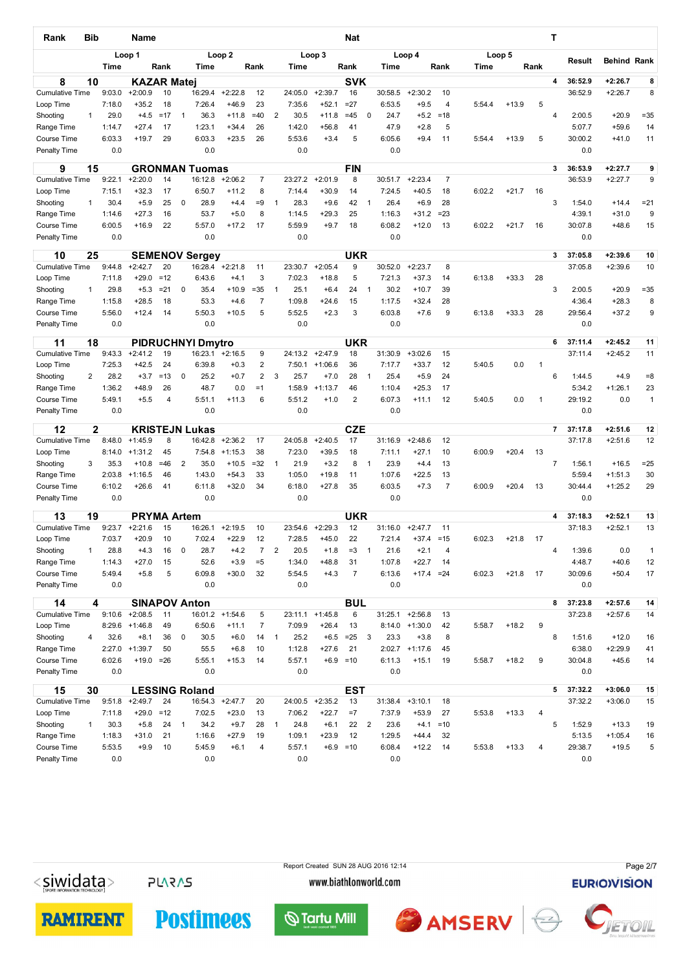| Rank                                | Bib            |                  | <b>Name</b>                     |          |                |                                  |                        |                     |                |                   |                      | <b>Nat</b>           |                |                   |                                |                |        |         |      | т              |                    |                        |              |  |  |  |  |  |  |
|-------------------------------------|----------------|------------------|---------------------------------|----------|----------------|----------------------------------|------------------------|---------------------|----------------|-------------------|----------------------|----------------------|----------------|-------------------|--------------------------------|----------------|--------|---------|------|----------------|--------------------|------------------------|--------------|--|--|--|--|--|--|
|                                     |                | <b>Time</b>      | Loop 1                          | Rank     |                | Time                             | Loop <sub>2</sub>      | Rank                |                |                   | Loop 3               |                      |                | <b>Time</b>       | Loop 4                         | Rank           |        | Loop 5  | Rank |                | Result             | <b>Behind Rank</b>     |              |  |  |  |  |  |  |
|                                     |                |                  |                                 |          |                |                                  |                        |                     |                | Time              |                      | Rank                 |                |                   |                                |                | Time   |         |      |                |                    |                        |              |  |  |  |  |  |  |
| 8<br><b>Cumulative Time</b>         | 10             | 9:03.0           | <b>KAZAR Matei</b><br>$+2:00.9$ | 10       |                | 16:29.4                          | $+2:22.8$              | 12                  |                | 24:05.0           | $+2:39.7$            | <b>SVK</b><br>16     |                | 30:58.5           | $+2:30.2$                      | 10             |        |         |      | 4              | 36:52.9<br>36:52.9 | $+2:26.7$<br>$+2:26.7$ | 8<br>8       |  |  |  |  |  |  |
| Loop Time                           |                | 7:18.0           | $+35.2$                         | 18       |                | 7:26.4                           | $+46.9$                | 23                  |                | 7:35.6            | $+52.1$              | $=27$                |                | 6:53.5            | $+9.5$                         | $\overline{4}$ | 5:54.4 | $+13.9$ | 5    |                |                    |                        |              |  |  |  |  |  |  |
| Shooting                            | $\mathbf{1}$   | 29.0             | $+4.5$                          | $=17$    | $\mathbf{1}$   | 36.3                             | $+11.8$                | $=40$               | $\overline{2}$ | 30.5              | $+11.8$              | $=45$                | $\mathbf 0$    | 24.7              | $+5.2$                         | $=18$          |        |         |      | $\overline{4}$ | 2:00.5             | $+20.9$                | $= 35$       |  |  |  |  |  |  |
| Range Time                          |                | 1:14.7           | $+27.4$                         | 17       |                | 1:23.1                           | $+34.4$                | 26                  |                | 1:42.0            | $+56.8$              | 41                   |                | 47.9              | $+2.8$                         | 5              |        |         |      |                | 5:07.7             | $+59.6$                | 14           |  |  |  |  |  |  |
| Course Time                         |                | 6:03.3           | $+19.7$                         | 29       |                | 6:03.3                           | $+23.5$                | 26                  |                | 5:53.6            | $+3.4$               | 5                    |                | 6:05.6            | $+9.4$                         | 11             | 5:54.4 | $+13.9$ | 5    |                | 30:00.2            | $+41.0$                | 11           |  |  |  |  |  |  |
| <b>Penalty Time</b>                 |                | 0.0              |                                 |          |                | 0.0                              |                        |                     |                | 0.0               |                      |                      |                | 0.0               |                                |                |        |         |      |                | 0.0                |                        |              |  |  |  |  |  |  |
| 9                                   | 15             |                  |                                 |          |                | <b>GRONMAN Tuomas</b>            |                        |                     |                |                   |                      | <b>FIN</b>           |                |                   |                                |                |        |         |      | 3              | 36:53.9            | $+2:27.7$              | 9            |  |  |  |  |  |  |
| <b>Cumulative Time</b>              |                | 9:22.1           | $+2:20.0$                       | 14       |                | 16:12.8                          | $+2:06.2$              | $\overline{7}$      |                | 23:27.2           | $+2:01.9$            | 8                    |                | 30:51.7           | $+2:23.4$                      | $\overline{7}$ |        |         |      |                | 36:53.9            | $+2:27.7$              | 9            |  |  |  |  |  |  |
| Loop Time                           | $\mathbf{1}$   | 7:15.1<br>30.4   | $+32.3$<br>$+5.9$               | 17<br>25 | 0              | 6:50.7<br>28.9                   | $+11.2$                | 8<br>$=9$           | $\mathbf{1}$   | 7:14.4<br>28.3    | $+30.9$<br>$+9.6$    | 14<br>42             | $\overline{1}$ | 7:24.5<br>26.4    | $+40.5$<br>$+6.9$              | 18<br>28       | 6:02.2 | $+21.7$ | 16   | 3              | 1:54.0             | $+14.4$                | $= 21$       |  |  |  |  |  |  |
| Shooting<br>Range Time              |                | 1:14.6           | $+27.3$                         | 16       |                | 53.7                             | $+4.4$<br>$+5.0$       | 8                   |                | 1:14.5            | $+29.3$              | 25                   |                | 1:16.3            | $+31.2$                        | $= 23$         |        |         |      |                | 4:39.1             | $+31.0$                | 9            |  |  |  |  |  |  |
| Course Time                         |                | 6:00.5           | $+16.9$                         | 22       |                | 5:57.0                           | $+17.2$                | 17                  |                | 5:59.9            | $+9.7$               | 18                   |                | 6:08.2            | $+12.0$                        | 13             | 6:02.2 | $+21.7$ | 16   |                | 30:07.8            | $+48.6$                | 15           |  |  |  |  |  |  |
| <b>Penalty Time</b>                 |                | 0.0              |                                 |          |                | 0.0                              |                        |                     |                | 0.0               |                      |                      |                | 0.0               |                                |                |        |         |      |                | 0.0                |                        |              |  |  |  |  |  |  |
|                                     |                |                  |                                 |          |                |                                  |                        |                     |                |                   |                      |                      |                |                   |                                |                |        |         |      |                |                    |                        |              |  |  |  |  |  |  |
| 10<br><b>Cumulative Time</b>        | 25             | 9:44.8           | $+2:42.7$                       | 20       |                | <b>SEMENOV Sergey</b><br>16:28.4 | $+2:21.8$              | 11                  |                | 23:30.7           | $+2:05.4$            | <b>UKR</b><br>9      |                | 30:52.0           | $+2:23.7$                      | 8              |        |         |      | 3              | 37:05.8<br>37:05.8 | $+2:39.6$<br>$+2:39.6$ | 10<br>10     |  |  |  |  |  |  |
| Loop Time                           |                | 7:11.8           | $+29.0$                         | $=12$    |                | 6:43.6                           | $+4.1$                 | 3                   |                | 7:02.3            | $+18.8$              | 5                    |                | 7:21.3            | $+37.3$                        | 14             | 6:13.8 | $+33.3$ | 28   |                |                    |                        |              |  |  |  |  |  |  |
| Shooting                            | 1              | 29.8             | $+5.3$                          | $= 21$   | 0              | 35.4                             | $+10.9$                | $=35$               | $\mathbf{1}$   | 25.1              | $+6.4$               | 24                   | $\mathbf{1}$   | 30.2              | $+10.7$                        | 39             |        |         |      | 3              | 2:00.5             | $+20.9$                | $= 35$       |  |  |  |  |  |  |
| Range Time                          |                | 1:15.8           | $+28.5$                         | 18       |                | 53.3                             | $+4.6$                 | $\overline{7}$      |                | 1:09.8            | $+24.6$              | 15                   |                | 1:17.5            | $+32.4$                        | 28             |        |         |      |                | 4:36.4             | $+28.3$                | 8            |  |  |  |  |  |  |
| Course Time                         |                | 5:56.0           | $+12.4$                         | 14       |                | 5:50.3                           | $+10.5$                | 5                   |                | 5:52.5            | $+2.3$               | 3                    |                | 6:03.8            | $+7.6$                         | 9              | 6:13.8 | $+33.3$ | 28   |                | 29:56.4            | $+37.2$                | 9            |  |  |  |  |  |  |
| <b>Penalty Time</b>                 |                | 0.0              |                                 |          |                | 0.0                              |                        |                     |                | 0.0               |                      |                      |                | 0.0               |                                |                |        |         |      |                | 0.0                |                        |              |  |  |  |  |  |  |
| 11                                  | 18             |                  |                                 |          |                | <b>PIDRUCHNYI Dmytro</b>         |                        |                     |                |                   |                      | <b>UKR</b>           |                |                   |                                |                |        |         |      | 6              | 37:11.4            | $+2:45.2$              | 11           |  |  |  |  |  |  |
| <b>Cumulative Time</b>              |                | 9:43.3           | $+2:41.2$                       | 19       |                | 16:23.1                          | $+2:16.5$              | 9                   |                | 24:13.2           | $+2:47.9$            | 18                   |                | 31:30.9           | $+3:02.6$                      | 15             |        |         |      |                | 37:11.4            | $+2:45.2$              | 11           |  |  |  |  |  |  |
| Loop Time                           |                | 7:25.3           | $+42.5$                         | 24       |                | 6:39.8                           | $+0.3$                 | 2                   |                | 7:50.1            | $+1:06.6$            | 36                   |                | 7:17.7            | $+33.7$                        | 12             | 5:40.5 | 0.0     | 1    |                |                    |                        |              |  |  |  |  |  |  |
| Shooting                            | $\overline{2}$ | 28.2             | $+3.7$                          | $=13$    | 0              | 25.2                             | $+0.7$                 | 2                   | 3              | 25.7              | $+7.0$               | 28                   | $\overline{1}$ | 25.4              | $+5.9$                         | 24             |        |         |      | 6              | 1:44.5             | $+4.9$                 | $= 8$        |  |  |  |  |  |  |
| Range Time                          |                | 1:36.2           | $+48.9$<br>$+5.5$               | 26       |                | 48.7                             | 0.0                    | $=1$<br>6           |                | 1:58.9<br>5:51.2  | $+1:13.7$            | 46<br>$\overline{2}$ |                | 1:10.4<br>6:07.3  | $+25.3$                        | 17<br>12       |        |         |      |                | 5:34.2<br>29:19.2  | $+1:26.1$              | 23           |  |  |  |  |  |  |
| Course Time<br><b>Penalty Time</b>  |                | 5:49.1<br>0.0    |                                 | 4        |                | 5:51.1<br>0.0                    | $+11.3$                |                     |                | 0.0               | $+1.0$               |                      |                | 0.0               | $+11.1$                        |                | 5:40.5 | 0.0     | -1   |                | 0.0                | 0.0                    | $\mathbf{1}$ |  |  |  |  |  |  |
|                                     |                |                  |                                 |          |                |                                  |                        |                     |                |                   |                      |                      |                |                   |                                |                |        |         |      |                |                    |                        |              |  |  |  |  |  |  |
| 12                                  | 2              |                  |                                 |          |                | <b>KRISTEJN Lukas</b>            |                        |                     |                |                   |                      | <b>CZE</b>           |                |                   |                                |                |        |         |      | $\overline{7}$ | 37:17.8            | $+2:51.6$              | 12           |  |  |  |  |  |  |
| <b>Cumulative Time</b><br>Loop Time |                | 8:48.0<br>8:14.0 | $+1:45.9$<br>$+1:31.2$          | 8<br>45  |                | 16:42.8<br>7:54.8                | $+2:36.2$<br>$+1:15.3$ | 17<br>38            |                | 24:05.8<br>7:23.0 | $+2:40.5$<br>$+39.5$ | 17<br>18             |                | 31:16.9<br>7:11.1 | $+2:48.6$<br>$+27.1$           | 12<br>10       | 6:00.9 | $+20.4$ | 13   |                | 37:17.8            | $+2:51.6$              | 12           |  |  |  |  |  |  |
| Shooting                            | 3              | 35.3             | $+10.8$                         | $=46$    | $\overline{2}$ | 35.0                             | $+10.5$                | $=32$               | $\mathbf{1}$   | 21.9              | $+3.2$               | 8                    | $\mathbf{1}$   | 23.9              | $+4.4$                         | 13             |        |         |      | $\overline{7}$ | 1:56.1             | $+16.5$                | $=25$        |  |  |  |  |  |  |
| Range Time                          |                | 2:03.8           | $+1:16.5$                       | 46       |                | 1:43.0                           | $+54.3$                | 33                  |                | 1:05.0            | $+19.8$              | 11                   |                | 1:07.6            | $+22.5$                        | 13             |        |         |      |                | 5:59.4             | $+1:51.3$              | 30           |  |  |  |  |  |  |
| Course Time                         |                | 6:10.2           | $+26.6$                         | 41       |                | 6:11.8                           | $+32.0$                | 34                  |                | 6:18.0            | $+27.8$              | 35                   |                | 6:03.5            | $+7.3$                         | $\overline{7}$ | 6:00.9 | $+20.4$ | 13   |                | 30:44.4            | $+1:25.2$              | 29           |  |  |  |  |  |  |
| <b>Penalty Time</b>                 |                | 0.0              |                                 |          |                | 0.0                              |                        |                     |                | 0.0               |                      |                      |                | 0.0               |                                |                |        |         |      |                | 0.0                |                        |              |  |  |  |  |  |  |
| 13                                  | 19             |                  | <b>PRYMA Artem</b>              |          |                |                                  |                        |                     |                |                   |                      | <b>UKR</b>           |                |                   |                                |                |        |         |      | 4              | 37:18.3            | $+2:52.1$              | 13           |  |  |  |  |  |  |
| <b>Cumulative Time</b>              |                | 9:23.7           | $+2:21.6$                       | 15       |                | 16:26.1                          | $+2:19.5$              | 10                  |                | 23:54.6           | $+2:29.3$            | 12                   |                | 31:16.0           | $+2:47.7$                      | 11             |        |         |      |                | 37:18.3            | $+2:52.1$              | 13           |  |  |  |  |  |  |
| Loop Time                           |                | 7:03.7           | $+20.9$                         | 10       |                | 7:02.4                           | $+22.9$                | 12                  |                | 7:28.5            | $+45.0$              | 22                   |                | 7:21.4            | $+37.4$                        | $=15$          | 6:02.3 | $+21.8$ | 17   |                |                    |                        |              |  |  |  |  |  |  |
| Shooting                            | $\mathbf{1}$   | 28.8             | $+4.3$                          | 16       | $\mathbf 0$    | 28.7                             | $+4.2$                 | $\overline{7}$      | $\overline{2}$ | 20.5              | $+1.8$               | $=3$                 | $\mathbf{1}$   | 21.6              | $+2.1$                         | 4              |        |         |      | 4              | 1:39.6             | 0.0                    | 1            |  |  |  |  |  |  |
| Range Time                          |                | 1:14.3           | $+27.0$                         | 15       |                | 52.6                             | $+3.9$                 | $=5$                |                | 1:34.0            | $+48.8$              | 31                   |                | 1:07.8            | $+22.7$                        | 14             |        |         |      |                | 4:48.7             | $+40.6$                | 12           |  |  |  |  |  |  |
| Course Time<br>Penalty Time         |                | 5:49.4<br>0.0    | $+5.8$                          | 5        |                | 6:09.8<br>0.0                    | $+30.0$                | 32                  |                | 5:54.5<br>0.0     | $+4.3$               | $\overline{7}$       |                | 6:13.6<br>0.0     |                                | $+17.4 = 24$   | 6:02.3 | $+21.8$ | 17   |                | 30:09.6<br>0.0     | $+50.4$                | 17           |  |  |  |  |  |  |
|                                     |                |                  |                                 |          |                |                                  |                        |                     |                |                   |                      |                      |                |                   |                                |                |        |         |      |                |                    |                        |              |  |  |  |  |  |  |
| 14                                  | 4              |                  | <b>SINAPOV Anton</b>            |          |                |                                  |                        |                     |                |                   |                      | <b>BUL</b>           |                |                   |                                |                |        |         |      | 8              | 37:23.8            | $+2:57.6$              | 14           |  |  |  |  |  |  |
| <b>Cumulative Time</b>              |                | 9:10.6           | $+2:08.5$<br>$8:29.6$ +1:46.8   | 11<br>49 |                |                                  | 16:01.2 +1:54.6        | 5<br>$\overline{7}$ |                | 23:11.1           | $+1:45.8$<br>$+26.4$ | 6                    |                |                   | $31:25.1 +2:56.8$<br>$+1:30.0$ | 13<br>42       |        |         | 9    |                | 37:23.8            | $+2:57.6$              | 14           |  |  |  |  |  |  |
| Loop Time<br>Shooting               | 4              | 32.6             | $+8.1$                          | 36       | 0              | 6:50.6<br>30.5                   | $+11.1$<br>$+6.0$      | 14                  | $\mathbf{1}$   | 7:09.9<br>25.2    | $+6.5$               | 13<br>$= 25$         | 3              | 8:14.0<br>23.3    | $+3.8$                         | 8              | 5:58.7 | $+18.2$ |      | 8              | 1:51.6             | $+12.0$                | 16           |  |  |  |  |  |  |
| Range Time                          |                | 2:27.0           | $+1:39.7$                       | 50       |                | 55.5                             | $+6.8$                 | 10                  |                | 1:12.8            | $+27.6$              | 21                   |                |                   | $2:02.7$ +1:17.6               | 45             |        |         |      |                | 6:38.0             | $+2:29.9$              | 41           |  |  |  |  |  |  |
| Course Time                         |                | 6:02.6           | $+19.0 = 26$                    |          |                | 5:55.1                           | $+15.3$                | 14                  |                | 5:57.1            |                      | $+6.9 = 10$          |                | 6:11.3            | $+15.1$                        | 19             | 5:58.7 | $+18.2$ | 9    |                | 30:04.8            | $+45.6$                | 14           |  |  |  |  |  |  |
| Penalty Time                        |                | 0.0              |                                 |          |                | 0.0                              |                        |                     |                | 0.0               |                      |                      |                | 0.0               |                                |                |        |         |      |                | 0.0                |                        |              |  |  |  |  |  |  |
| 15                                  | 30             |                  |                                 |          |                | <b>LESSING Roland</b>            |                        |                     |                |                   |                      | <b>EST</b>           |                |                   |                                |                |        |         |      | 5              | 37:32.2            | $+3:06.0$              | 15           |  |  |  |  |  |  |
| <b>Cumulative Time</b>              |                | 9:51.8           | $+2:49.7$                       | 24       |                | 16:54.3                          | $+2:47.7$              | 20                  |                | 24:00.5           | $+2:35.2$            | 13                   |                | 31:38.4           | $+3:10.1$                      | 18             |        |         |      |                | 37:32.2            | $+3:06.0$              | 15           |  |  |  |  |  |  |
| Loop Time                           |                | 7:11.8           | $+29.0$                         | $=12$    |                | 7:02.5                           | $+23.0$                | 13                  |                | 7:06.2            | $+22.7$              | $=7$                 |                | 7:37.9            | $+53.9$                        | 27             | 5:53.8 | $+13.3$ | 4    |                |                    |                        |              |  |  |  |  |  |  |
| Shooting                            | $\mathbf{1}$   | 30.3             | $+5.8$                          | 24       | $\overline{1}$ | 34.2                             | $+9.7$                 | 28                  | $\mathbf{1}$   | 24.8              | $+6.1$               | 22                   | $\overline{2}$ | 23.6              | $+4.1$                         | $=10$          |        |         |      | 5              | 1:52.9             | $+13.3$                | 19           |  |  |  |  |  |  |
| Range Time                          |                | 1:18.3           | $+31.0$                         | 21       |                | 1:16.6                           | $+27.9$                | 19                  |                | 1:09.1            | $+23.9$              | 12                   |                | 1:29.5            | $+44.4$                        | 32             |        |         |      |                | 5:13.5             | $+1:05.4$              | 16           |  |  |  |  |  |  |
| Course Time                         |                | 5:53.5           | $+9.9$                          | 10       |                | 5:45.9                           | $+6.1$                 | 4                   |                | 5:57.1            |                      | $+6.9 = 10$          |                | 6:08.4            | $+12.2$                        | 14             | 5:53.8 | $+13.3$ | 4    |                | 29:38.7            | $+19.5$                | 5            |  |  |  |  |  |  |
| Penalty Time                        |                | 0.0              |                                 |          |                | 0.0                              |                        |                     |                | 0.0               |                      |                      |                | 0.0               |                                |                |        |         |      |                | 0.0                |                        |              |  |  |  |  |  |  |

**RAMIRENT** 

**PLARAS** 

**Postimees** 

Report Created SUN 28 AUG 2016 12:14 www.biathlonworld.com

*<u>Middle</u>* 

Page 2/7**EURIOVISION** 

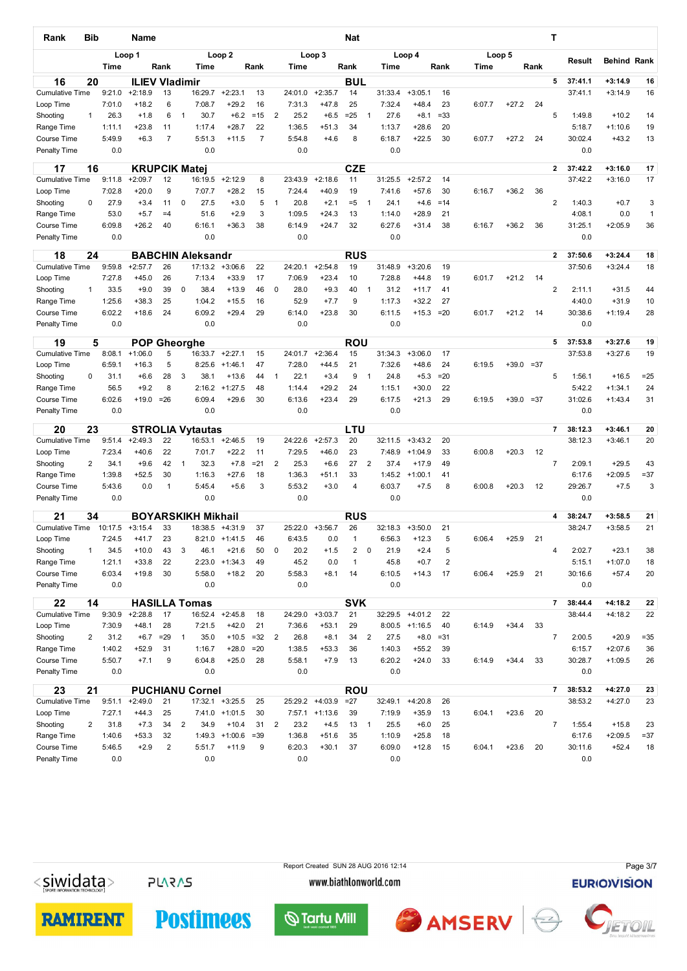| Rank                         | Bib            |                  |                                   |                  |                |                           |                      |                |                | <b>Nat</b>        |                      |                                         |                |                   |                      |                     |             | т            |      |                         |                    |                      |                   |
|------------------------------|----------------|------------------|-----------------------------------|------------------|----------------|---------------------------|----------------------|----------------|----------------|-------------------|----------------------|-----------------------------------------|----------------|-------------------|----------------------|---------------------|-------------|--------------|------|-------------------------|--------------------|----------------------|-------------------|
|                              |                |                  | Loop 1                            |                  |                |                           | Loop <sub>2</sub>    |                |                |                   | Loop 3               |                                         |                |                   | Loop 4               |                     |             | Loop 5       |      |                         | Result             | <b>Behind Rank</b>   |                   |
|                              |                | <b>Time</b>      |                                   | Rank             |                | Time                      |                      | Rank           |                | Time              |                      | Rank                                    |                | Time              |                      | Rank                | <b>Time</b> |              | Rank |                         |                    |                      |                   |
| 16                           | 20             |                  | <b>ILIEV Vladimir</b>             |                  |                |                           |                      |                |                |                   |                      | <b>BUL</b>                              |                |                   |                      |                     |             |              |      | 5                       | 37:41.1            | $+3:14.9$            | 16                |
| <b>Cumulative Time</b>       |                | 9:21.0           | $+2:18.9$                         | 13               |                | 16:29.7                   | $+2:23.1$            | 13             |                | 24:01.0           | $+2:35.7$            | 14                                      |                | 31:33.4           | $+3:05.1$            | 16                  |             |              |      |                         | 37:41.1            | $+3:14.9$            | 16                |
| Loop Time<br>Shooting        | 1              | 7:01.0<br>26.3   | $+18.2$<br>$+1.8$                 | 6<br>6           | $\mathbf{1}$   | 7:08.7<br>30.7            | $+29.2$<br>$+6.2$    | 16<br>$=15$    | $\overline{2}$ | 7:31.3<br>25.2    | $+47.8$<br>$+6.5$    | 25<br>$=25$                             | $\mathbf{1}$   | 7:32.4<br>27.6    | $+48.4$<br>$+8.1$    | 23<br>$= 33$        | 6:07.7      | $+27.2$      | 24   | 5                       | 1:49.8             | $+10.2$              | 14                |
| Range Time                   |                | 1:11.1           | $+23.8$                           | 11               |                | 1:17.4                    | $+28.7$              | 22             |                | 1:36.5            | $+51.3$              | 34                                      |                | 1:13.7            | $+28.6$              | 20                  |             |              |      |                         | 5:18.7             | $+1:10.6$            | 19                |
| Course Time                  |                | 5:49.9           | $+6.3$                            | $\overline{7}$   |                | 5:51.3                    | $+11.5$              | $\overline{7}$ |                | 5:54.8            | $+4.6$               | 8                                       |                | 6:18.7            | $+22.5$              | 30                  | 6:07.7      | $+27.2$      | 24   |                         | 30:02.4            | $+43.2$              | 13                |
| Penalty Time                 |                | 0.0              |                                   |                  |                | 0.0                       |                      |                |                | 0.0               |                      |                                         |                | 0.0               |                      |                     |             |              |      |                         | 0.0                |                      |                   |
| 17                           | 16             |                  | <b>KRUPCIK Mate</b>               |                  |                |                           |                      |                |                |                   |                      | <b>CZE</b>                              |                |                   |                      |                     |             |              |      | $\mathbf{2}$            | 37:42.2            | $+3:16.0$            | $17\,$            |
| <b>Cumulative Time</b>       |                | 9:11.8           | $+2:09.7$                         | 12               |                |                           | 16:19.5 +2:12.9      | 8              |                | 23:43.9           | $+2:18.6$            | 11                                      |                | 31:25.5           | $+2:57.2$            | 14                  |             |              |      |                         | 37:42.2            | $+3:16.0$            | 17                |
| Loop Time                    |                | 7:02.8           | $+20.0$                           | 9                |                | 7:07.7                    | $+28.2$              | 15             |                | 7:24.4            | $+40.9$              | 19                                      |                | 7:41.6            | $+57.6$              | 30                  | 6:16.7      | $+36.2$      | 36   |                         |                    |                      |                   |
| Shooting                     | 0              | 27.9<br>53.0     | $+3.4$<br>$+5.7$                  | 11<br>$=4$       | $\mathbf 0$    | 27.5<br>51.6              | $+3.0$<br>$+2.9$     | 5<br>3         | $\mathbf{1}$   | 20.8<br>1:09.5    | $+2.1$<br>$+24.3$    | $= 5$<br>13                             | $\mathbf{1}$   | 24.1<br>1:14.0    | $+4.6$<br>$+28.9$    | $=14$<br>21         |             |              |      | $\overline{\mathbf{c}}$ | 1:40.3<br>4:08.1   | $+0.7$<br>0.0        | 3<br>$\mathbf{1}$ |
| Range Time<br>Course Time    |                | 6:09.8           | $+26.2$                           | 40               |                | 6:16.1                    | $+36.3$              | 38             |                | 6:14.9            | $+24.7$              | 32                                      |                | 6:27.6            | $+31.4$              | 38                  | 6:16.7      | $+36.2$      | 36   |                         | 31:25.1            | $+2:05.9$            | 36                |
| <b>Penalty Time</b>          |                | 0.0              |                                   |                  |                | 0.0                       |                      |                |                | 0.0               |                      |                                         |                | 0.0               |                      |                     |             |              |      |                         | 0.0                |                      |                   |
|                              |                |                  |                                   |                  |                |                           |                      |                |                |                   |                      |                                         |                |                   |                      |                     |             |              |      |                         |                    |                      |                   |
| 18                           | 24             |                  |                                   |                  |                | <b>BABCHIN Aleksandr</b>  |                      |                |                |                   |                      | <b>RUS</b>                              |                |                   |                      |                     |             |              |      | $\mathbf{2}$            | 37:50.6            | 13:24.4              | ${\bf 18}$        |
| <b>Cumulative Time</b>       |                | 9:59.8<br>7:27.8 | $+2:57.7$<br>$+45.0$              | 26<br>26         |                | 17:13.2<br>7:13.4         | $+3:06.6$<br>$+33.9$ | 22<br>17       |                | 24:20.1<br>7:06.9 | $+2:54.8$<br>$+23.4$ | 19<br>10                                |                | 31:48.9<br>7:28.8 | $+3:20.6$<br>$+44.8$ | 19<br>19            | 6:01.7      | $+21.2$      | 14   |                         | 37:50.6            | $+3:24.4$            | 18                |
| Loop Time<br>Shooting        | 1              | 33.5             | $+9.0$                            | 39               | 0              | 38.4                      | $+13.9$              | 46             | $\mathbf 0$    | 28.0              | $+9.3$               | 40                                      | $\mathbf{1}$   | 31.2              | $+11.7$              | 41                  |             |              |      | $\overline{\mathbf{c}}$ | 2:11.1             | $+31.5$              | 44                |
| Range Time                   |                | 1:25.6           | $+38.3$                           | 25               |                | 1:04.2                    | $+15.5$              | 16             |                | 52.9              | $+7.7$               | 9                                       |                | 1:17.3            | $+32.2$              | 27                  |             |              |      |                         | 4:40.0             | $+31.9$              | 10                |
| Course Time                  |                | 6:02.2           | $+18.6$                           | 24               |                | 6:09.2                    | $+29.4$              | 29             |                | 6:14.0            | $+23.8$              | 30                                      |                | 6:11.5            | $+15.3$              | $=20$               | 6:01.7      | $+21.2$      | 14   |                         | 30:38.6            | $+1:19.4$            | 28                |
| <b>Penalty Time</b>          |                | 0.0              |                                   |                  |                | 0.0                       |                      |                |                | 0.0               |                      |                                         |                | 0.0               |                      |                     |             |              |      |                         | 0.0                |                      |                   |
| 19                           | 5              |                  | <b>POP</b>                        | Gheorghe         |                |                           |                      |                |                |                   |                      | ROU                                     |                |                   |                      |                     |             |              |      | 5                       | 37:53.8            | $+3:27.6$            | 19                |
| <b>Cumulative Time</b>       |                | 8:08.1           | $+1:06.0$                         | 5                |                |                           | 16:33.7 +2:27.1      | 15             |                | 24:01.7           | $+2:36.4$            | 15                                      |                | 31:34.3           | $+3:06.0$            | 17                  |             |              |      |                         | 37:53.8            | $+3:27.6$            | 19                |
| Loop Time                    |                | 6:59.1           | $+16.3$                           | 5                |                | 8:25.6                    | $+1:46.1$            | 47             |                | 7:28.0            | $+44.5$              | 21                                      |                | 7:32.6            | $+48.6$              | 24                  | 6:19.5      | $+39.0 = 37$ |      |                         |                    |                      |                   |
| Shooting                     | 0              | 31.1             | $+6.6$                            | 28               | 3              | 38.1                      | $+13.6$              | 44             | $\mathbf{1}$   | 22.1              | $+3.4$               | 9                                       | $\mathbf{1}$   | 24.8              | $+5.3$               | $= 20$              |             |              |      | 5                       | 1:56.1             | $+16.5$              | $=25$             |
| Range Time                   |                | 56.5             | $+9.2$                            | 8                |                | 2:16.2                    | $+1:27.5$            | 48             |                | 1:14.4            | $+29.2$              | 24                                      |                | 1:15.1            | $+30.0$              | 22                  |             |              |      |                         | 5:42.2             | $+1:34.1$            | 24                |
| Course Time                  |                | 6:02.6           | $+19.0$                           | $= 26$           |                | 6:09.4                    | $+29.6$              | 30             |                | 6:13.6            | $+23.4$              | 29                                      |                | 6:17.5            | $+21.3$              | 29                  | 6:19.5      | $+39.0 = 37$ |      |                         | 31:02.6            | $+1:43.4$            | 31                |
| <b>Penalty Time</b>          |                | 0.0              |                                   |                  |                | 0.0                       |                      |                |                | 0.0               |                      |                                         |                | 0.0               |                      |                     |             |              |      |                         | 0.0                |                      |                   |
| 20                           | 23             |                  |                                   |                  |                | <b>STROLIA Vytautas</b>   |                      |                |                |                   |                      | LTU                                     |                |                   |                      |                     |             |              |      | $\overline{7}$          | 38:12.3            | $+3:46.1$            | 20                |
| <b>Cumulative Time</b>       |                | 9:51.4           | $+2:49.3$                         | 22               |                | 16:53.1                   | $+2:46.5$            | 19             |                | 24:22.6           | $+2:57.3$            | 20                                      |                | 32:11.5           | $+3:43.2$            | 20                  |             |              |      |                         | 38:12.3            | $+3:46.1$            | 20                |
| Loop Time                    |                | 7:23.4           | $+40.6$                           | 22               |                | 7:01.7                    | $+22.2$              | 11             |                | 7:29.5            | $+46.0$              | 23                                      |                | 7:48.9            | $+1:04.9$            | 33                  | 6:00.8      | $+20.3$      | 12   |                         |                    |                      |                   |
| Shooting                     | 2              | 34.1             | $+9.6$                            | 42               | $\mathbf{1}$   | 32.3                      | $+7.8$               | $= 21$         | 2              | 25.3              | $+6.6$               | 27                                      | 2              | 37.4              | $+17.9$              | 49                  |             |              |      | $\overline{7}$          | 2:09.1             | $+29.5$              | 43                |
| Range Time                   |                | 1:39.8           | $+52.5$                           | 30               |                | 1:16.3                    | $+27.6$              | 18             |                | 1:36.3            | $+51.1$              | 33                                      |                | 1:45.2            | $+1:00.1$            | 41                  |             |              |      |                         | 6:17.6             | $+2:09.5$            | $= 37$            |
| Course Time                  |                | 5:43.6           | 0.0                               | 1                |                | 5:45.4                    | $+5.6$               | 3              |                | 5:53.2            | $+3.0$               | $\overline{4}$                          |                | 6:03.7            | $+7.5$               | 8                   | 6:00.8      | $+20.3$      | 12   |                         | 29:26.7            | $+7.5$               | 3                 |
| <b>Penalty Time</b>          |                | 0.0              |                                   |                  |                | 0.0                       |                      |                |                | 0.0               |                      |                                         |                | 0.0               |                      |                     |             |              |      |                         | 0.0                |                      |                   |
| 21                           | 34             |                  |                                   |                  |                | <b>BOYARSKIKH Mikhail</b> |                      |                |                |                   |                      | <b>RUS</b>                              |                |                   |                      |                     |             |              |      | 4                       | 38:24.7            | $+3:58.5$            | 21                |
| <b>Cumulative Time</b>       |                | 10:17.5          | $+3:15.4$                         | 33               |                |                           | 18:38.5 +4:31.9      | 37             |                | 25:22.0           | $+3:56.7$            | 26                                      |                | 32:18.3           | $+3:50.0$            | 21                  |             |              |      |                         | 38:24.7            | $+3:58.5$            | 21                |
| Loop Time                    |                | 7:24.5           | $+41.7$                           | 23               |                |                           | $8:21.0$ +1:41.5     | 46             |                | 6:43.5            | 0.0                  | $\mathbf{1}$                            |                | 6:56.3            | $+12.3$              | 5                   | 6:06.4      | $+25.9$      | 21   |                         |                    |                      |                   |
| Shooting<br>Range Time       | $\mathbf{1}$   | 34.5<br>1:21.1   | $+10.0$<br>$+33.8$                | 43<br>22         | 3              | 46.1<br>2:23.0            | $+21.6$<br>$+1:34.3$ | 50<br>49       | $\pmb{0}$      | 20.2<br>45.2      | $+1.5$<br>0.0        | $\overline{\mathbf{c}}$<br>$\mathbf{1}$ | 0              | 21.9<br>45.8      | $+2.4$<br>$+0.7$     | 5<br>$\overline{2}$ |             |              |      | $\overline{4}$          | 2:02.7<br>5:15.1   | $+23.1$<br>$+1:07.0$ | 38<br>18          |
| Course Time                  |                | 6:03.4           | $+19.8$                           | 30               |                | 5:58.0                    | $+18.2$              | 20             |                | 5:58.3            | $+8.1$               | 14                                      |                | 6:10.5            | $+14.3$              | 17                  | 6:06.4      | $+25.9$      | 21   |                         | 30:16.6            | $+57.4$              | 20                |
| Penalty Time                 |                | 0.0              |                                   |                  |                | 0.0                       |                      |                |                | 0.0               |                      |                                         |                | $0.0\,$           |                      |                     |             |              |      |                         | 0.0                |                      |                   |
|                              |                |                  |                                   |                  |                |                           |                      |                |                |                   |                      |                                         |                |                   |                      |                     |             |              |      |                         |                    |                      |                   |
| 22<br><b>Cumulative Time</b> | 14             | 9:30.9           | <b>HASILLA Tomas</b><br>$+2:28.8$ | 17               |                | 16:52.4                   | $+2:45.8$            | 18             |                | 24:29.0           | $+3:03.7$            | <b>SVK</b><br>21                        |                | 32:29.5           | $+4:01.2$            | 22                  |             |              |      | $\overline{\mathbf{r}}$ | 38:44.4<br>38:44.4 | +4:18.2<br>$+4:18.2$ | 22<br>22          |
| Loop Time                    |                | 7:30.9           | $+48.1$                           | 28               |                | 7:21.5                    | $+42.0$              | 21             |                | 7:36.6            | $+53.1$              | 29                                      |                | 8:00.5            | $+1:16.5$            | 40                  | 6:14.9      | $+34.4$      | 33   |                         |                    |                      |                   |
| Shooting                     | 2              | 31.2             | $+6.7$                            | $= 29$           | $\overline{1}$ | 35.0                      | $+10.5$              | $=32$          | 2              | 26.8              | $+8.1$               | 34                                      | $\overline{2}$ | 27.5              | $+8.0$               | $= 31$              |             |              |      | $\overline{7}$          | 2:00.5             | $+20.9$              | $= 35$            |
| Range Time                   |                | 1:40.2           | $+52.9$                           | 31               |                | 1:16.7                    | $+28.0$              | $=20$          |                | 1:38.5            | $+53.3$              | 36                                      |                | 1:40.3            | $+55.2$              | 39                  |             |              |      |                         | 6:15.7             | $+2:07.6$            | 36                |
| Course Time                  |                | 5:50.7           | $+7.1$                            | 9                |                | 6:04.8                    | $+25.0$              | 28             |                | 5:58.1            | $+7.9$               | 13                                      |                | 6:20.2            | $+24.0$              | 33                  | 6:14.9      | $+34.4$      | 33   |                         | 30:28.7            | $+1:09.5$            | 26                |
| Penalty Time                 |                | 0.0              |                                   |                  |                | 0.0                       |                      |                |                | 0.0               |                      |                                         |                | 0.0               |                      |                     |             |              |      |                         | 0.0                |                      |                   |
| 23                           | 21             |                  |                                   |                  |                | <b>PUCHIANU Cornel</b>    |                      |                |                |                   |                      | <b>ROU</b>                              |                |                   |                      |                     |             |              |      | 7                       | 38:53.2            | +4:27.0              | 23                |
| <b>Cumulative Time</b>       |                | 9:51.1           | $+2:49.0$                         | 21               |                |                           | 17:32.1 +3:25.5      | 25             |                | 25:29.2           | $+4:03.9$            | $=27$                                   |                | 32:49.1           | $+4:20.8$            | 26                  |             |              |      |                         | 38:53.2            | $+4:27.0$            | 23                |
| Loop Time                    |                | 7:27.1           | $+44.3$                           | 25               |                |                           | 7:41.0 +1:01.5       | 30             |                |                   | 7:57.1 +1:13.6       | 39                                      |                | 7:19.9            | $+35.9$              | 13                  | 6:04.1      | $+23.6$      | 20   |                         |                    |                      |                   |
| Shooting                     | $\overline{2}$ | 31.8             | $+7.3$                            | 34               | 2              | 34.9                      | $+10.4$              | 31             | $\overline{2}$ | 23.2              | $+4.5$               | 13                                      | $\overline{1}$ | 25.5              | $+6.0$               | 25                  |             |              |      | $\overline{7}$          | 1:55.4             | $+15.8$              | 23                |
| Range Time                   |                | 1:40.6           | $+53.3$                           | 32               |                | 1:49.3                    | $+1:00.6$            | $= 39$         |                | 1:36.8            | $+51.6$              | 35                                      |                | 1:10.9            | $+25.8$              | 18                  |             |              |      |                         | 6:17.6             | $+2:09.5$            | $= 37$            |
| Course Time                  |                | 5:46.5           | $+2.9$                            | $\boldsymbol{2}$ |                | 5:51.7                    | $+11.9$              | 9              |                | 6:20.3            | $+30.1$              | 37                                      |                | 6:09.0            | $+12.8$              | 15                  | 6:04.1      | $+23.6$      | 20   |                         | 30:11.6            | $+52.4$              | 18                |
| <b>Penalty Time</b>          |                | 0.0              |                                   |                  |                | 0.0                       |                      |                |                | 0.0               |                      |                                         |                | 0.0               |                      |                     |             |              |      |                         | 0.0                |                      |                   |

**RAMIRENT** 

**PLARAS** 

**Postimees** 

Report Created SUN 28 AUG 2016 12:14 www.biathlonworld.com

*<u>Middle</u>* 

# Page 3/7**EURIOVISION**

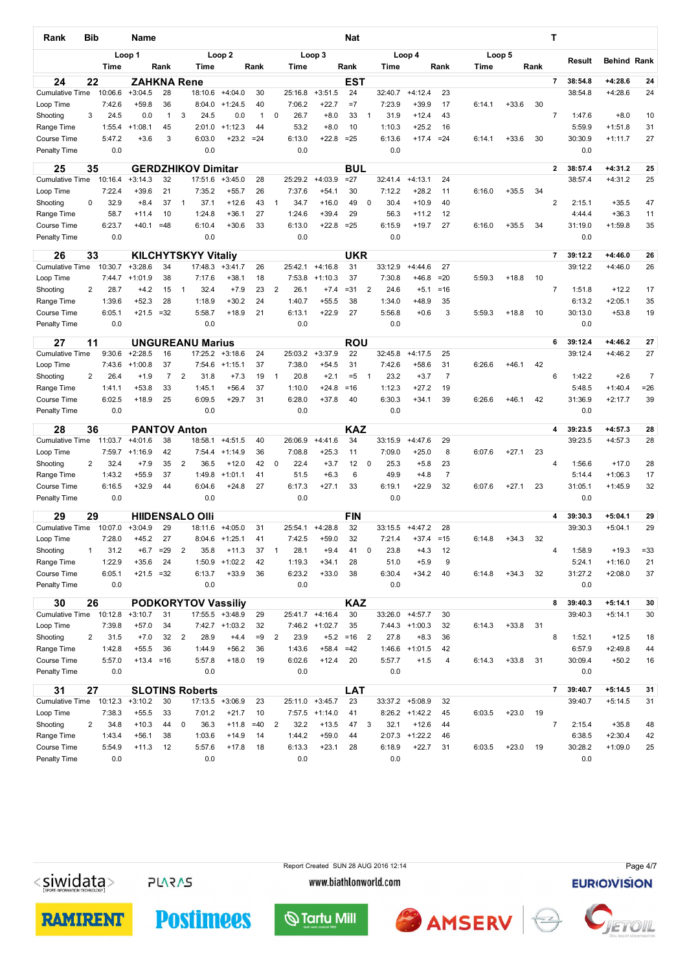| Loop 5<br>Loop 1<br>Loop <sub>2</sub><br>Loop 3<br>Loop 4<br>Result<br>Time<br>Rank<br>Time<br>Rank<br>Time<br>Rank<br>Time<br>Rank<br>Time<br>Rank<br><b>EST</b><br>24<br>22<br><b>ZAHKNA Rene</b><br>$\overline{\phantom{a}}$<br>38:54.8<br><b>Cumulative Time</b><br>10:06.6<br>$+3:04.5$<br>28<br>18:10.6<br>$+4:04.0$<br>30<br>25:16.8<br>$+3:51.5$<br>24<br>32:40.7<br>$+4:12.4$<br>23<br>38:54.8<br>Loop Time<br>7:42.6<br>$+59.8$<br>36<br>8:04.0<br>$+1:24.5$<br>40<br>7:06.2<br>$+22.7$<br>$=7$<br>7:23.9<br>$+39.9$<br>17<br>6:14.1<br>$+33.6$<br>30<br>$\mathbf 0$<br>$\overline{7}$<br>3<br>0.0<br>$\mathbf{1}$<br>3<br>24.5<br>0.0<br>$\mathbf{1}$<br>26.7<br>33<br>$\overline{1}$<br>31.9<br>$+12.4$<br>43<br>1:47.6<br>Shooting<br>24.5<br>$+8.0$<br>1:55.4<br>$+1:08.1$<br>45<br>2:01.0<br>$+1:12.3$<br>44<br>53.2<br>$+8.0$<br>10<br>1:10.3<br>$+25.2$<br>16<br>5:59.9<br>Range Time<br>Course Time<br>5:47.2<br>$+3.6$<br>3<br>6:03.0<br>$+23.2$<br>6:13.0<br>$+22.8$<br>$= 25$<br>6:13.6<br>$+17.4$<br>$= 24$<br>6:14.1<br>$+33.6$<br>30<br>30:30.9<br>$= 24$<br>0.0<br>0.0<br>0.0<br>0.0<br>0.0<br>Penalty Time<br><b>BUL</b><br><b>GERDZHIKOV Dimitar</b><br>25<br>35<br>$\mathbf{2}$<br>38:57.4<br><b>Cumulative Time</b><br>10:16.4<br>$+3:14.3$<br>32<br>17:51.6<br>$+3:45.0$<br>28<br>25:29.2<br>$+4:03.9$<br>$=27$<br>32:41.4<br>$+4:13.1$<br>24<br>38:57.4<br>7:22.4<br>$+39.6$<br>21<br>7:35.2<br>$+55.7$<br>26<br>7:37.6<br>$+54.1$<br>30<br>7:12.2<br>$+28.2$<br>11<br>6:16.0<br>$+35.5$<br>34<br>Loop Time<br>$\overline{2}$<br>0<br>32.9<br>$+8.4$<br>37<br>$\mathbf{1}$<br>37.1<br>$+12.6$<br>43<br>$\mathbf{1}$<br>34.7<br>$+16.0$<br>49<br>0<br>30.4<br>$+10.9$<br>40<br>2:15.1<br>Shooting<br>58.7<br>10<br>1:24.8<br>$+36.1$<br>27<br>1:24.6<br>$+39.4$<br>29<br>56.3<br>$+11.2$<br>12<br>Range Time<br>+11.4<br>4:44.4<br>27<br>Course Time<br>6:23.7<br>$+40.1$<br>$=48$<br>6:10.4<br>$+30.6$<br>33<br>6:13.0<br>$+22.8$<br>$= 25$<br>6:15.9<br>$+19.7$<br>6:16.0<br>$+35.5$<br>34<br>31:19.0 | <b>Behind Rank</b><br>24<br>+4:28.6<br>$+4:28.6$<br>24<br>$+8.0$<br>10<br>31<br>$+1:51.8$<br>$+1:11.7$<br>27<br>14:31.2<br>25 |
|---------------------------------------------------------------------------------------------------------------------------------------------------------------------------------------------------------------------------------------------------------------------------------------------------------------------------------------------------------------------------------------------------------------------------------------------------------------------------------------------------------------------------------------------------------------------------------------------------------------------------------------------------------------------------------------------------------------------------------------------------------------------------------------------------------------------------------------------------------------------------------------------------------------------------------------------------------------------------------------------------------------------------------------------------------------------------------------------------------------------------------------------------------------------------------------------------------------------------------------------------------------------------------------------------------------------------------------------------------------------------------------------------------------------------------------------------------------------------------------------------------------------------------------------------------------------------------------------------------------------------------------------------------------------------------------------------------------------------------------------------------------------------------------------------------------------------------------------------------------------------------------------------------------------------------------------------------------------------------------------------------------------------------------|-------------------------------------------------------------------------------------------------------------------------------|
|                                                                                                                                                                                                                                                                                                                                                                                                                                                                                                                                                                                                                                                                                                                                                                                                                                                                                                                                                                                                                                                                                                                                                                                                                                                                                                                                                                                                                                                                                                                                                                                                                                                                                                                                                                                                                                                                                                                                                                                                                                       |                                                                                                                               |
|                                                                                                                                                                                                                                                                                                                                                                                                                                                                                                                                                                                                                                                                                                                                                                                                                                                                                                                                                                                                                                                                                                                                                                                                                                                                                                                                                                                                                                                                                                                                                                                                                                                                                                                                                                                                                                                                                                                                                                                                                                       |                                                                                                                               |
|                                                                                                                                                                                                                                                                                                                                                                                                                                                                                                                                                                                                                                                                                                                                                                                                                                                                                                                                                                                                                                                                                                                                                                                                                                                                                                                                                                                                                                                                                                                                                                                                                                                                                                                                                                                                                                                                                                                                                                                                                                       |                                                                                                                               |
|                                                                                                                                                                                                                                                                                                                                                                                                                                                                                                                                                                                                                                                                                                                                                                                                                                                                                                                                                                                                                                                                                                                                                                                                                                                                                                                                                                                                                                                                                                                                                                                                                                                                                                                                                                                                                                                                                                                                                                                                                                       |                                                                                                                               |
|                                                                                                                                                                                                                                                                                                                                                                                                                                                                                                                                                                                                                                                                                                                                                                                                                                                                                                                                                                                                                                                                                                                                                                                                                                                                                                                                                                                                                                                                                                                                                                                                                                                                                                                                                                                                                                                                                                                                                                                                                                       |                                                                                                                               |
|                                                                                                                                                                                                                                                                                                                                                                                                                                                                                                                                                                                                                                                                                                                                                                                                                                                                                                                                                                                                                                                                                                                                                                                                                                                                                                                                                                                                                                                                                                                                                                                                                                                                                                                                                                                                                                                                                                                                                                                                                                       |                                                                                                                               |
|                                                                                                                                                                                                                                                                                                                                                                                                                                                                                                                                                                                                                                                                                                                                                                                                                                                                                                                                                                                                                                                                                                                                                                                                                                                                                                                                                                                                                                                                                                                                                                                                                                                                                                                                                                                                                                                                                                                                                                                                                                       |                                                                                                                               |
|                                                                                                                                                                                                                                                                                                                                                                                                                                                                                                                                                                                                                                                                                                                                                                                                                                                                                                                                                                                                                                                                                                                                                                                                                                                                                                                                                                                                                                                                                                                                                                                                                                                                                                                                                                                                                                                                                                                                                                                                                                       |                                                                                                                               |
|                                                                                                                                                                                                                                                                                                                                                                                                                                                                                                                                                                                                                                                                                                                                                                                                                                                                                                                                                                                                                                                                                                                                                                                                                                                                                                                                                                                                                                                                                                                                                                                                                                                                                                                                                                                                                                                                                                                                                                                                                                       |                                                                                                                               |
|                                                                                                                                                                                                                                                                                                                                                                                                                                                                                                                                                                                                                                                                                                                                                                                                                                                                                                                                                                                                                                                                                                                                                                                                                                                                                                                                                                                                                                                                                                                                                                                                                                                                                                                                                                                                                                                                                                                                                                                                                                       | 25<br>$+4:31.2$                                                                                                               |
|                                                                                                                                                                                                                                                                                                                                                                                                                                                                                                                                                                                                                                                                                                                                                                                                                                                                                                                                                                                                                                                                                                                                                                                                                                                                                                                                                                                                                                                                                                                                                                                                                                                                                                                                                                                                                                                                                                                                                                                                                                       |                                                                                                                               |
|                                                                                                                                                                                                                                                                                                                                                                                                                                                                                                                                                                                                                                                                                                                                                                                                                                                                                                                                                                                                                                                                                                                                                                                                                                                                                                                                                                                                                                                                                                                                                                                                                                                                                                                                                                                                                                                                                                                                                                                                                                       | $+35.5$<br>47<br>$+36.3$<br>11                                                                                                |
|                                                                                                                                                                                                                                                                                                                                                                                                                                                                                                                                                                                                                                                                                                                                                                                                                                                                                                                                                                                                                                                                                                                                                                                                                                                                                                                                                                                                                                                                                                                                                                                                                                                                                                                                                                                                                                                                                                                                                                                                                                       | $+1:59.8$<br>35                                                                                                               |
| 0.0<br>0.0<br>0.0<br>0.0<br>0.0<br><b>Penalty Time</b>                                                                                                                                                                                                                                                                                                                                                                                                                                                                                                                                                                                                                                                                                                                                                                                                                                                                                                                                                                                                                                                                                                                                                                                                                                                                                                                                                                                                                                                                                                                                                                                                                                                                                                                                                                                                                                                                                                                                                                                |                                                                                                                               |
|                                                                                                                                                                                                                                                                                                                                                                                                                                                                                                                                                                                                                                                                                                                                                                                                                                                                                                                                                                                                                                                                                                                                                                                                                                                                                                                                                                                                                                                                                                                                                                                                                                                                                                                                                                                                                                                                                                                                                                                                                                       |                                                                                                                               |
| <b>UKR</b><br>26<br>33<br><b>KILCHYTSKYY Vitaliy</b><br>$\overline{7}$<br>39:12.2                                                                                                                                                                                                                                                                                                                                                                                                                                                                                                                                                                                                                                                                                                                                                                                                                                                                                                                                                                                                                                                                                                                                                                                                                                                                                                                                                                                                                                                                                                                                                                                                                                                                                                                                                                                                                                                                                                                                                     | 14:46.0<br>26                                                                                                                 |
| 10:30.7<br><b>Cumulative Time</b><br>$+3:28.6$<br>34<br>17:48.3<br>$+3:41.7$<br>25:42.1<br>$+4:16.8$<br>31<br>33:12.9<br>$+4:44.6$<br>27<br>39:12.2<br>26                                                                                                                                                                                                                                                                                                                                                                                                                                                                                                                                                                                                                                                                                                                                                                                                                                                                                                                                                                                                                                                                                                                                                                                                                                                                                                                                                                                                                                                                                                                                                                                                                                                                                                                                                                                                                                                                             | 26<br>$+4:46.0$                                                                                                               |
| $=20$<br>5:59.3<br>7:44.7<br>$+1:01.9$<br>38<br>7:17.6<br>$+38.1$<br>18<br>7:53.8<br>$+1:10.3$<br>37<br>7:30.8<br>$+46.8$<br>$+18.8$<br>10<br>Loop Time<br>32.4<br>23<br>$\overline{2}$<br>2<br>28.7<br>$+4.2$<br>15<br>$+7.9$<br>26.1<br>$= 31$<br>$\overline{2}$<br>24.6<br>$+5.1$<br>$= 16$<br>7<br>1:51.8<br>$\mathbf{1}$                                                                                                                                                                                                                                                                                                                                                                                                                                                                                                                                                                                                                                                                                                                                                                                                                                                                                                                                                                                                                                                                                                                                                                                                                                                                                                                                                                                                                                                                                                                                                                                                                                                                                                         | $+12.2$<br>17                                                                                                                 |
| Shooting<br>$+7.4$<br>1:39.6<br>$+52.3$<br>28<br>1:18.9<br>$+30.2$<br>24<br>1:40.7<br>$+55.5$<br>38<br>1:34.0<br>$+48.9$<br>35<br>6:13.2<br>Range Time                                                                                                                                                                                                                                                                                                                                                                                                                                                                                                                                                                                                                                                                                                                                                                                                                                                                                                                                                                                                                                                                                                                                                                                                                                                                                                                                                                                                                                                                                                                                                                                                                                                                                                                                                                                                                                                                                | 35<br>$+2:05.1$                                                                                                               |
| 5:58.7<br>$+22.9$<br>5:59.3<br>30:13.0<br>6:05.1<br>$+21.5$<br>$=32$<br>$+18.9$<br>21<br>6:13.1<br>27<br>5:56.8<br>$+0.6$<br>3<br>$+18.8$<br>10<br>Course Time                                                                                                                                                                                                                                                                                                                                                                                                                                                                                                                                                                                                                                                                                                                                                                                                                                                                                                                                                                                                                                                                                                                                                                                                                                                                                                                                                                                                                                                                                                                                                                                                                                                                                                                                                                                                                                                                        | $+53.8$<br>19                                                                                                                 |
| Penalty Time<br>0.0<br>0.0<br>0.0<br>0.0<br>0.0                                                                                                                                                                                                                                                                                                                                                                                                                                                                                                                                                                                                                                                                                                                                                                                                                                                                                                                                                                                                                                                                                                                                                                                                                                                                                                                                                                                                                                                                                                                                                                                                                                                                                                                                                                                                                                                                                                                                                                                       |                                                                                                                               |
| 27<br>11<br><b>ROU</b><br><b>UNGUREANU Marius</b><br>6<br>39:12.4                                                                                                                                                                                                                                                                                                                                                                                                                                                                                                                                                                                                                                                                                                                                                                                                                                                                                                                                                                                                                                                                                                                                                                                                                                                                                                                                                                                                                                                                                                                                                                                                                                                                                                                                                                                                                                                                                                                                                                     | $+4:46.2$<br>27                                                                                                               |
| <b>Cumulative Time</b><br>9:30.6<br>17:25.2<br>24<br>25:03.2<br>$+3:37.9$<br>32:45.8<br>$+4:17.5$<br>25<br>39:12.4<br>$+2:28.5$<br>16<br>$+3:18.6$<br>22                                                                                                                                                                                                                                                                                                                                                                                                                                                                                                                                                                                                                                                                                                                                                                                                                                                                                                                                                                                                                                                                                                                                                                                                                                                                                                                                                                                                                                                                                                                                                                                                                                                                                                                                                                                                                                                                              | $+4:46.2$<br>27                                                                                                               |
| 31<br>7:43.6<br>$+1:00.8$<br>37<br>7:54.6<br>37<br>7:38.0<br>31<br>7:42.6<br>$+58.6$<br>6:26.6<br>$+46.1$<br>42<br>Loop Time<br>$+1:15.1$<br>$+54.5$                                                                                                                                                                                                                                                                                                                                                                                                                                                                                                                                                                                                                                                                                                                                                                                                                                                                                                                                                                                                                                                                                                                                                                                                                                                                                                                                                                                                                                                                                                                                                                                                                                                                                                                                                                                                                                                                                  |                                                                                                                               |
| $\overline{2}$<br>$\overline{7}$<br>$\overline{2}$<br>20.8<br>23.2<br>$\overline{7}$<br>6<br>1:42.2<br>26.4<br>31.8<br>$+7.3$<br>19<br>$\mathbf{1}$<br>$+2.1$<br>$=5$<br>$\overline{1}$<br>$+3.7$<br>Shooting<br>$+1.9$                                                                                                                                                                                                                                                                                                                                                                                                                                                                                                                                                                                                                                                                                                                                                                                                                                                                                                                                                                                                                                                                                                                                                                                                                                                                                                                                                                                                                                                                                                                                                                                                                                                                                                                                                                                                               | $+2.6$<br>$\overline{7}$                                                                                                      |
| 1:41.1<br>$+53.8$<br>33<br>1:45.1<br>$+56.4$<br>37<br>1:10.0<br>$+24.8$<br>1:12.3<br>$+27.2$<br>19<br>5:48.5<br>Range Time<br>$= 16$                                                                                                                                                                                                                                                                                                                                                                                                                                                                                                                                                                                                                                                                                                                                                                                                                                                                                                                                                                                                                                                                                                                                                                                                                                                                                                                                                                                                                                                                                                                                                                                                                                                                                                                                                                                                                                                                                                  | $+1:40.4$<br>$= 26$                                                                                                           |
| 31:36.9<br>6:02.5<br>25<br>6:09.5<br>31<br>6:28.0<br>6:30.3<br>$+34.1$<br>39<br>6:26.6<br>$+46.1$<br>Course Time<br>$+18.9$<br>$+29.7$<br>$+37.8$<br>40<br>42                                                                                                                                                                                                                                                                                                                                                                                                                                                                                                                                                                                                                                                                                                                                                                                                                                                                                                                                                                                                                                                                                                                                                                                                                                                                                                                                                                                                                                                                                                                                                                                                                                                                                                                                                                                                                                                                         | 39<br>$+2:17.7$                                                                                                               |
| 0.0<br>0.0<br>0.0<br>0.0<br>0.0<br><b>Penalty Time</b>                                                                                                                                                                                                                                                                                                                                                                                                                                                                                                                                                                                                                                                                                                                                                                                                                                                                                                                                                                                                                                                                                                                                                                                                                                                                                                                                                                                                                                                                                                                                                                                                                                                                                                                                                                                                                                                                                                                                                                                |                                                                                                                               |
| 28<br><b>PANTOV Anton</b><br><b>KAZ</b><br>36<br>39:23.5<br>4                                                                                                                                                                                                                                                                                                                                                                                                                                                                                                                                                                                                                                                                                                                                                                                                                                                                                                                                                                                                                                                                                                                                                                                                                                                                                                                                                                                                                                                                                                                                                                                                                                                                                                                                                                                                                                                                                                                                                                         | +4:57.3<br>28                                                                                                                 |
| <b>Cumulative Time</b><br>11:03.7<br>38<br>$+4:51.5$<br>26:06.9<br>$+4:41.6$<br>34<br>33:15.9<br>$+4:47.6$<br>29<br>39:23.5<br>$+4:01.6$<br>18:58.1<br>40                                                                                                                                                                                                                                                                                                                                                                                                                                                                                                                                                                                                                                                                                                                                                                                                                                                                                                                                                                                                                                                                                                                                                                                                                                                                                                                                                                                                                                                                                                                                                                                                                                                                                                                                                                                                                                                                             | $+4:57.3$<br>28                                                                                                               |
| 8<br>Loop Time<br>7:59.7<br>42<br>36<br>7:08.8<br>$+25.3$<br>11<br>7:09.0<br>$+25.0$<br>6:07.6<br>$+27.1$<br>23<br>$+1:16.9$<br>7:54.4<br>$+1:14.9$                                                                                                                                                                                                                                                                                                                                                                                                                                                                                                                                                                                                                                                                                                                                                                                                                                                                                                                                                                                                                                                                                                                                                                                                                                                                                                                                                                                                                                                                                                                                                                                                                                                                                                                                                                                                                                                                                   |                                                                                                                               |
| 2<br>32.4<br>35<br>$\overline{2}$<br>42<br>0<br>22.4<br>12<br>25.3<br>23<br>1:56.6<br>Shooting<br>$+7.9$<br>36.5<br>$+12.0$<br>$+3.7$<br>0<br>$+5.8$<br>4                                                                                                                                                                                                                                                                                                                                                                                                                                                                                                                                                                                                                                                                                                                                                                                                                                                                                                                                                                                                                                                                                                                                                                                                                                                                                                                                                                                                                                                                                                                                                                                                                                                                                                                                                                                                                                                                             | $+17.0$<br>28                                                                                                                 |
| $\overline{7}$<br>1:43.2<br>$+55.9$<br>37<br>1:49.8<br>$+1:01.1$<br>41<br>51.5<br>$+6.3$<br>6<br>49.9<br>$+4.8$<br>5:14.4<br>Range Time                                                                                                                                                                                                                                                                                                                                                                                                                                                                                                                                                                                                                                                                                                                                                                                                                                                                                                                                                                                                                                                                                                                                                                                                                                                                                                                                                                                                                                                                                                                                                                                                                                                                                                                                                                                                                                                                                               | 17<br>$+1:06.3$                                                                                                               |
| 6:16.5<br>$+32.9$<br>44<br>6:04.6<br>$+24.8$<br>27<br>6:17.3<br>$+27.1$<br>33<br>6:19.1<br>$+22.9$<br>32<br>6:07.6<br>23<br>31:05.1<br>Course Time<br>$+27.1$                                                                                                                                                                                                                                                                                                                                                                                                                                                                                                                                                                                                                                                                                                                                                                                                                                                                                                                                                                                                                                                                                                                                                                                                                                                                                                                                                                                                                                                                                                                                                                                                                                                                                                                                                                                                                                                                         | $+1:45.9$<br>32                                                                                                               |
| 0.0<br>0.0<br>0.0<br>0.0<br>0.0<br><b>Penalty Time</b>                                                                                                                                                                                                                                                                                                                                                                                                                                                                                                                                                                                                                                                                                                                                                                                                                                                                                                                                                                                                                                                                                                                                                                                                                                                                                                                                                                                                                                                                                                                                                                                                                                                                                                                                                                                                                                                                                                                                                                                |                                                                                                                               |
| <b>FIN</b><br><b>HIIDENSALO OIII</b><br>29<br>29<br>4<br>39:30.3                                                                                                                                                                                                                                                                                                                                                                                                                                                                                                                                                                                                                                                                                                                                                                                                                                                                                                                                                                                                                                                                                                                                                                                                                                                                                                                                                                                                                                                                                                                                                                                                                                                                                                                                                                                                                                                                                                                                                                      | $+5:04.1$<br>29                                                                                                               |
| $+4:28.8$<br><b>Cumulative Time</b><br>10:07.0<br>$+3:04.9$<br>29<br>$+4:05.0$<br>31<br>25:54.1<br>32<br>33:15.5<br>$+4:47.2$<br>28<br>18:11.6<br>39:30.3                                                                                                                                                                                                                                                                                                                                                                                                                                                                                                                                                                                                                                                                                                                                                                                                                                                                                                                                                                                                                                                                                                                                                                                                                                                                                                                                                                                                                                                                                                                                                                                                                                                                                                                                                                                                                                                                             | 29<br>$+5:04.1$                                                                                                               |
| 32<br>Loop Time<br>7:28.0<br>$+45.2$<br>27<br>$8:04.6$ +1:25.1<br>41<br>7:42.5<br>$+59.0$<br>7:21.4<br>$+37.4$<br>$=15$<br>6:14.8<br>$+34.3$<br>32                                                                                                                                                                                                                                                                                                                                                                                                                                                                                                                                                                                                                                                                                                                                                                                                                                                                                                                                                                                                                                                                                                                                                                                                                                                                                                                                                                                                                                                                                                                                                                                                                                                                                                                                                                                                                                                                                    |                                                                                                                               |
| 31.2<br>$+6.7$<br>$=29$<br>$\overline{2}$<br>$+11.3$<br>37<br>1:58.9<br>Shooting<br>$\mathbf{1}$<br>35.8<br>$\overline{1}$<br>28.1<br>$+9.4$<br>41<br>0<br>23.8<br>$+4.3$<br>12<br>$\overline{4}$                                                                                                                                                                                                                                                                                                                                                                                                                                                                                                                                                                                                                                                                                                                                                                                                                                                                                                                                                                                                                                                                                                                                                                                                                                                                                                                                                                                                                                                                                                                                                                                                                                                                                                                                                                                                                                     | $+19.3$<br>$= 33$                                                                                                             |
| 24<br>1:22.9<br>$+35.6$<br>1:50.9<br>$+1:02.2$<br>42<br>1:19.3<br>$+34.1$<br>28<br>$+5.9$<br>9<br>5:24.1<br>Range Time<br>51.0<br>6:13.7<br>$+33.9$<br>$+33.0$<br>31:27.2<br>36<br>40                                                                                                                                                                                                                                                                                                                                                                                                                                                                                                                                                                                                                                                                                                                                                                                                                                                                                                                                                                                                                                                                                                                                                                                                                                                                                                                                                                                                                                                                                                                                                                                                                                                                                                                                                                                                                                                 | $+1:16.0$<br>21<br>$+2:08.0$                                                                                                  |
| Course Time<br>6:05.1<br>$+21.5 = 32$<br>6:23.2<br>38<br>6:30.4<br>$+34.2$<br>6:14.8<br>$+34.3$<br>32<br>0.0<br>0.0<br>0.0<br>0.0<br>Penalty Time<br>0.0                                                                                                                                                                                                                                                                                                                                                                                                                                                                                                                                                                                                                                                                                                                                                                                                                                                                                                                                                                                                                                                                                                                                                                                                                                                                                                                                                                                                                                                                                                                                                                                                                                                                                                                                                                                                                                                                              | 37                                                                                                                            |
|                                                                                                                                                                                                                                                                                                                                                                                                                                                                                                                                                                                                                                                                                                                                                                                                                                                                                                                                                                                                                                                                                                                                                                                                                                                                                                                                                                                                                                                                                                                                                                                                                                                                                                                                                                                                                                                                                                                                                                                                                                       |                                                                                                                               |
| <b>KAZ</b><br>39:40.3<br>30<br>26<br><b>PODKORYTOV Vassiliv</b><br>8                                                                                                                                                                                                                                                                                                                                                                                                                                                                                                                                                                                                                                                                                                                                                                                                                                                                                                                                                                                                                                                                                                                                                                                                                                                                                                                                                                                                                                                                                                                                                                                                                                                                                                                                                                                                                                                                                                                                                                  | $+5:14.1$<br>30                                                                                                               |
| 10:12.8<br>17:55.5 +3:48.9<br>25:41.7 +4:16.4<br>33:26.0<br>$+4:57.7$<br>39:40.3<br><b>Cumulative Time</b><br>$+3:10.7$<br>31<br>29<br>30<br>30<br>7:39.8<br>7:42.7 +1:03.2<br>$+1:02.7$<br>35<br>7:44.3<br>32<br>$+57.0$<br>34<br>6:14.3                                                                                                                                                                                                                                                                                                                                                                                                                                                                                                                                                                                                                                                                                                                                                                                                                                                                                                                                                                                                                                                                                                                                                                                                                                                                                                                                                                                                                                                                                                                                                                                                                                                                                                                                                                                             | $+5:14.1$<br>30                                                                                                               |
| Loop Time<br>32<br>7:46.2<br>$+1:00.3$<br>$+33.8$<br>31<br>31.5<br>32<br>28.9<br>$\overline{2}$<br>8<br>Shooting<br>2<br>$+7.0$<br>2<br>$+4.4$<br>$=9$<br>23.9<br>$+5.2 = 16$<br>$\overline{2}$<br>27.8<br>$+8.3$<br>36<br>1:52.1                                                                                                                                                                                                                                                                                                                                                                                                                                                                                                                                                                                                                                                                                                                                                                                                                                                                                                                                                                                                                                                                                                                                                                                                                                                                                                                                                                                                                                                                                                                                                                                                                                                                                                                                                                                                     | $+12.5$<br>18                                                                                                                 |
| 36<br>6:57.9<br>1:42.8<br>$+55.5$<br>1:44.9<br>$+56.2$<br>36<br>1:43.6<br>$+58.4$<br>$=42$<br>1:46.6<br>$+1:01.5$<br>42<br>Range Time                                                                                                                                                                                                                                                                                                                                                                                                                                                                                                                                                                                                                                                                                                                                                                                                                                                                                                                                                                                                                                                                                                                                                                                                                                                                                                                                                                                                                                                                                                                                                                                                                                                                                                                                                                                                                                                                                                 | $+2:49.8$<br>44                                                                                                               |
| 30:09.4<br>Course Time<br>5:57.0<br>$+13.4 = 16$<br>5:57.8<br>$+18.0$<br>19<br>6:02.6<br>$+12.4$<br>20<br>5:57.7<br>$+1.5$<br>6:14.3<br>$+33.8$<br>31<br>4                                                                                                                                                                                                                                                                                                                                                                                                                                                                                                                                                                                                                                                                                                                                                                                                                                                                                                                                                                                                                                                                                                                                                                                                                                                                                                                                                                                                                                                                                                                                                                                                                                                                                                                                                                                                                                                                            | $+50.2$<br>16                                                                                                                 |
| 0.0<br>Penalty Time<br>0.0<br>0.0<br>0.0<br>0.0                                                                                                                                                                                                                                                                                                                                                                                                                                                                                                                                                                                                                                                                                                                                                                                                                                                                                                                                                                                                                                                                                                                                                                                                                                                                                                                                                                                                                                                                                                                                                                                                                                                                                                                                                                                                                                                                                                                                                                                       |                                                                                                                               |
| 27<br><b>LAT</b><br>$\overline{7}$<br>39:40.7<br>31<br><b>SLOTINS Roberts</b>                                                                                                                                                                                                                                                                                                                                                                                                                                                                                                                                                                                                                                                                                                                                                                                                                                                                                                                                                                                                                                                                                                                                                                                                                                                                                                                                                                                                                                                                                                                                                                                                                                                                                                                                                                                                                                                                                                                                                         | $+5:14.5$<br>31                                                                                                               |
| 10:12.3<br>$+3:10.2$<br>30<br>17:13.5 +3:06.9<br>23<br>25:11.0<br>$+3:45.7$<br>33:37.2<br>$+5:08.9$<br>39:40.7<br><b>Cumulative Time</b><br>23<br>32                                                                                                                                                                                                                                                                                                                                                                                                                                                                                                                                                                                                                                                                                                                                                                                                                                                                                                                                                                                                                                                                                                                                                                                                                                                                                                                                                                                                                                                                                                                                                                                                                                                                                                                                                                                                                                                                                  | $+5:14.5$<br>31                                                                                                               |
| $8:26.2$ +1:42.2<br>Loop Time<br>7:38.3<br>$+55.5$<br>33<br>7:01.2<br>$+21.7$<br>10<br>$7:57.5$ +1:14.0<br>41<br>45<br>6:03.5<br>$+23.0$<br>19                                                                                                                                                                                                                                                                                                                                                                                                                                                                                                                                                                                                                                                                                                                                                                                                                                                                                                                                                                                                                                                                                                                                                                                                                                                                                                                                                                                                                                                                                                                                                                                                                                                                                                                                                                                                                                                                                        |                                                                                                                               |
| $\overline{2}$<br>$+10.3$<br>36.3<br>$=40$<br>$\overline{2}$<br>32.2<br>32.1<br>$+12.6$<br>$\overline{7}$<br>Shooting<br>34.8<br>44<br>0<br>$+11.8$<br>$+13.5$<br>47<br>3<br>2:15.4<br>44                                                                                                                                                                                                                                                                                                                                                                                                                                                                                                                                                                                                                                                                                                                                                                                                                                                                                                                                                                                                                                                                                                                                                                                                                                                                                                                                                                                                                                                                                                                                                                                                                                                                                                                                                                                                                                             | $+35.8$<br>48                                                                                                                 |
| 38<br>$+59.0$<br>2:07.3<br>$+1:22.2$<br>6:38.5<br>Range Time<br>1:43.4<br>$+56.1$<br>1:03.6<br>$+14.9$<br>14<br>1:44.2<br>44<br>46                                                                                                                                                                                                                                                                                                                                                                                                                                                                                                                                                                                                                                                                                                                                                                                                                                                                                                                                                                                                                                                                                                                                                                                                                                                                                                                                                                                                                                                                                                                                                                                                                                                                                                                                                                                                                                                                                                    | $+2:30.4$<br>42                                                                                                               |
| 30:28.2<br>Course Time<br>12<br>5:57.6<br>$+17.8$<br>6:13.3<br>$+23.1$<br>28<br>6:18.9<br>$+22.7$<br>6:03.5<br>$+23.0$<br>5:54.9<br>$+11.3$<br>18<br>31<br>19                                                                                                                                                                                                                                                                                                                                                                                                                                                                                                                                                                                                                                                                                                                                                                                                                                                                                                                                                                                                                                                                                                                                                                                                                                                                                                                                                                                                                                                                                                                                                                                                                                                                                                                                                                                                                                                                         | $+1:09.0$<br>25                                                                                                               |
| 0.0<br>0.0<br>0.0<br>0.0<br>Penalty Time<br>0.0                                                                                                                                                                                                                                                                                                                                                                                                                                                                                                                                                                                                                                                                                                                                                                                                                                                                                                                                                                                                                                                                                                                                                                                                                                                                                                                                                                                                                                                                                                                                                                                                                                                                                                                                                                                                                                                                                                                                                                                       |                                                                                                                               |

**PLARAS** 

Report Created SUN 28 AUG 2016 12:14 www.biathlonworld.com

Page 4/7**EURIOVISION** 



**RAMIRENT** 

**Postimees** *<u>Middle</u>* 

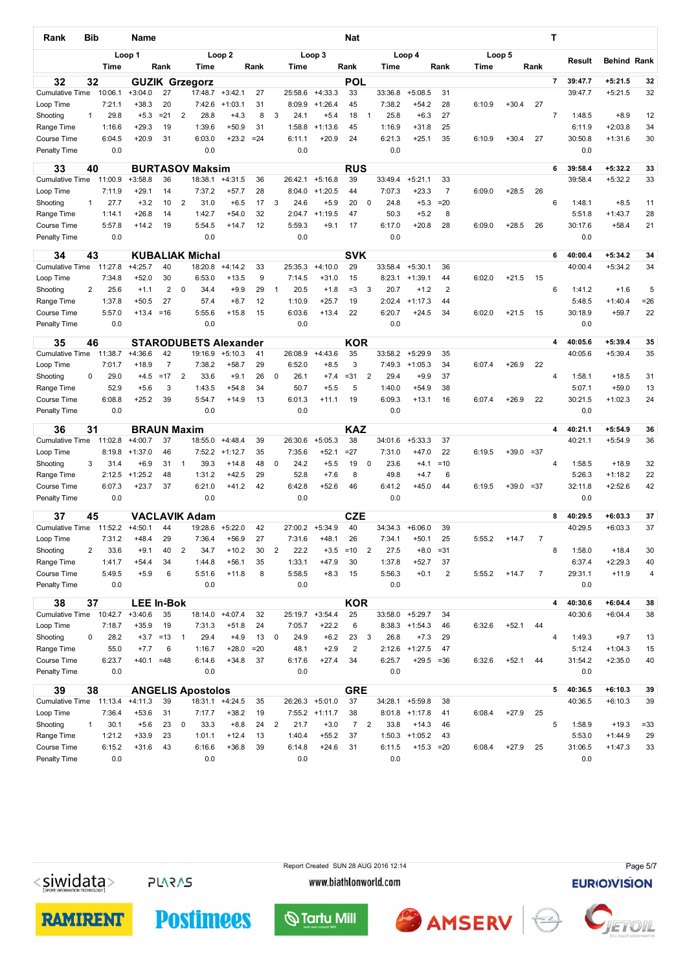| Rank                                | Bib            |                   | <b>Name</b>          |                  |                |                                         |                        | Nat         |                |                   |                        |                               |                |                   |                      |                      |        |         |                | т              |                    |                        |             |
|-------------------------------------|----------------|-------------------|----------------------|------------------|----------------|-----------------------------------------|------------------------|-------------|----------------|-------------------|------------------------|-------------------------------|----------------|-------------------|----------------------|----------------------|--------|---------|----------------|----------------|--------------------|------------------------|-------------|
|                                     |                |                   | Loop 1               |                  |                |                                         | Loop <sub>2</sub>      |             |                |                   | Loop 3                 |                               |                |                   | Loop 4               |                      |        | Loop 5  |                |                | Result             | <b>Behind Rank</b>     |             |
|                                     |                | <b>Time</b>       |                      | Rank             |                | <b>Time</b>                             |                        | Rank        |                | Time              |                        | Rank                          |                | Time              |                      | Rank                 | Time   |         | Rank           |                |                    |                        |             |
| 32                                  | 32             |                   |                      |                  |                | <b>GUZIK Grzegorz</b>                   |                        |             |                |                   |                        | <b>POL</b>                    |                |                   |                      |                      |        |         |                | $\overline{7}$ | 39:47.7            | $+5:21.5$              | 32          |
| <b>Cumulative Time</b><br>Loop Time |                | 10:06.1<br>7:21.1 | $+3:04.0$<br>$+38.3$ | 27<br>20         |                | 17:48.7<br>7:42.6                       | $+3:42.1$<br>$+1:03.1$ | 27<br>31    |                | 25:58.6<br>8:09.9 | $+4:33.3$<br>$+1:26.4$ | 33<br>45                      |                | 33:36.8<br>7:38.2 | $+5:08.5$<br>$+54.2$ | 31<br>28             | 6:10.9 | $+30.4$ | 27             |                | 39:47.7            | $+5:21.5$              | 32          |
| Shooting                            | $\mathbf{1}$   | 29.8              | $+5.3$               | $= 21$           | $\overline{2}$ | 28.8                                    | $+4.3$                 | 8           | 3              | 24.1              | $+5.4$                 | 18                            | $\overline{1}$ | 25.8              | $+6.3$               | 27                   |        |         |                | $\overline{7}$ | 1:48.5             | $+8.9$                 | 12          |
| Range Time                          |                | 1:16.6            | $+29.3$              | 19               |                | 1:39.6                                  | $+50.9$                | 31          |                | 1:58.8            | $+1:13.6$              | 45                            |                | 1:16.9            | $+31.8$              | 25                   |        |         |                |                | 6:11.9             | $+2:03.8$              | 34          |
| Course Time                         |                | 6:04.5            | $+20.9$              | 31               |                | 6:03.0                                  | $+23.2$                | $= 24$      |                | 6:11.1            | $+20.9$                | 24                            |                | 6:21.3            | $+25.1$              | 35                   | 6:10.9 | $+30.4$ | 27             |                | 30:50.8            | $+1:31.6$              | 30          |
| <b>Penalty Time</b>                 |                | 0.0               |                      |                  |                | 0.0                                     |                        |             |                | 0.0               |                        |                               |                | 0.0               |                      |                      |        |         |                |                | 0.0                |                        |             |
| 33                                  | 40             |                   |                      |                  |                | <b>BURTASOV Maksim</b>                  |                        |             |                |                   |                        | <b>RUS</b>                    |                |                   |                      |                      |        |         |                | 6              | 39:58.4            | $+5:32.2$              | 33          |
| <b>Cumulative Time</b>              |                | 11:00.9           | $+3:58.8$            | 36               |                | 18:38.1                                 | $+4:31.5$              | 36          |                | 26:42.1           | $+5:16.8$              | 39                            |                | 33:49.4           | $+5:21.1$            | 33                   |        |         |                |                | 39:58.4            | $+5:32.2$              | 33          |
| Loop Time                           |                | 7:11.9            | $+29.1$              | 14               |                | 7:37.2                                  | $+57.7$                | 28          |                | 8:04.0            | $+1:20.5$              | 44                            |                | 7:07.3            | $+23.3$              | $\overline{7}$       | 6:09.0 | $+28.5$ | 26             |                |                    |                        |             |
| Shooting                            | 1              | 27.7              | $+3.2$               | 10               | $\overline{2}$ | 31.0                                    | $+6.5$                 | 17          | 3              | 24.6              | $+5.9$                 | 20                            | 0              | 24.8              | $+5.3$               | $= 20$               |        |         |                | 6              | 1:48.1             | $+8.5$                 | 11          |
| Range Time                          |                | 1:14.1            | $+26.8$              | 14<br>19         |                | 1:42.7                                  | $+54.0$                | 32<br>12    |                | 2:04.7            | $+1:19.5$              | 47<br>17                      |                | 50.3              | $+5.2$               | 8                    | 6:09.0 |         |                |                | 5:51.8             | $+1:43.7$              | 28          |
| Course Time<br><b>Penalty Time</b>  |                | 5:57.8<br>0.0     | $+14.2$              |                  |                | 5:54.5<br>0.0                           | $+14.7$                |             |                | 5:59.3<br>0.0     | $+9.1$                 |                               |                | 6:17.0<br>0.0     | $+20.8$              | 28                   |        | $+28.5$ | 26             |                | 30:17.6<br>0.0     | $+58.4$                | 21          |
|                                     |                |                   |                      |                  |                |                                         |                        |             |                |                   |                        |                               |                |                   |                      |                      |        |         |                |                |                    |                        |             |
| 34                                  | 43             |                   |                      |                  |                | <b>KUBALIAK Michal</b>                  |                        |             |                |                   |                        | <b>SVK</b>                    |                |                   |                      |                      |        |         |                | 6              | 40:00.4            | $+5:34.2$              | 34          |
| <b>Cumulative Time</b>              |                | 11:27.8           | $+4:25.7$            | 40               |                | 18:20.8                                 | $+4:14.2$              | 33          |                | 25:35.3           | $+4:10.0$              | 29                            |                | 33:58.4           | $+5:30.1$            | 36                   |        |         |                |                | 40:00.4            | $+5:34.2$              | 34          |
| Loop Time                           |                | 7:34.8            | $+52.0$              | 30               |                | 6:53.0                                  | $+13.5$                | 9           |                | 7:14.5            | $+31.0$                | 15                            |                | 8:23.1            | $+1:39.1$            | 44                   | 6:02.0 | $+21.5$ | 15             |                |                    |                        |             |
| Shooting<br>Range Time              | 2              | 25.6<br>1:37.8    | $+1.1$<br>$+50.5$    | 2<br>27          | $\mathbf 0$    | 34.4<br>57.4                            | $+9.9$<br>$+8.7$       | 29<br>12    | $\mathbf{1}$   | 20.5<br>1:10.9    | $+1.8$<br>$+25.7$      | $=3$<br>19                    | 3              | 20.7<br>2:02.4    | $+1.2$<br>$+1:17.3$  | $\overline{2}$<br>44 |        |         |                | 6              | 1:41.2<br>5:48.5   | $+1.6$<br>$+1:40.4$    | 5<br>$= 26$ |
| Course Time                         |                | 5:57.0            | $+13.4$              | =16              |                | 5:55.6                                  | $+15.8$                | 15          |                | 6:03.6            | $+13.4$                | 22                            |                | 6:20.7            | $+24.5$              | 34                   | 6:02.0 | $+21.5$ | 15             |                | 30:18.9            | $+59.7$                | 22          |
| <b>Penalty Time</b>                 |                | 0.0               |                      |                  |                | 0.0                                     |                        |             |                | 0.0               |                        |                               |                | 0.0               |                      |                      |        |         |                |                | 0.0                |                        |             |
|                                     |                |                   |                      |                  |                |                                         |                        |             |                |                   |                        |                               |                |                   |                      |                      |        |         |                |                |                    |                        |             |
| 35<br><b>Cumulative Time</b>        | 46             | 11:38.7           | $+4:36.6$            | 42               |                | <b>STARODUBETS Alexander</b><br>19:16.9 | $+5:10.3$              | 41          |                | 26:08.9           | $+4:43.6$              | KOR<br>35                     |                | 33:58.2           | $+5:29.9$            | 35                   |        |         |                | 4              | 40:05.6<br>40:05.6 | $+5:39.4$<br>$+5:39.4$ | 35<br>35    |
| Loop Time                           |                | 7:01.7            | $+18.9$              | $\overline{7}$   |                | 7:38.2                                  | $+58.7$                | 29          |                | 6:52.0            | $+8.5$                 | 3                             |                | 7:49.3            | $+1:05.3$            | 34                   | 6:07.4 | $+26.9$ | 22             |                |                    |                        |             |
| Shooting                            | 0              | 29.0              | $+4.5$               | $=17$            | $\overline{2}$ | 33.6                                    | $+9.1$                 | 26          | 0              | 26.1              | $+7.4$                 | $= 31$                        | $\overline{2}$ | 29.4              | $+9.9$               | 37                   |        |         |                | $\overline{4}$ | 1:58.1             | $+18.5$                | 31          |
| Range Time                          |                | 52.9              | $+5.6$               | 3                |                | 1:43.5                                  | $+54.8$                | 34          |                | 50.7              | $+5.5$                 | 5                             |                | 1:40.0            | $+54.9$              | 38                   |        |         |                |                | 5:07.1             | $+59.0$                | 13          |
| Course Time                         |                | 6:08.8            | $+25.2$              | 39               |                | 5:54.7                                  | $+14.9$                | 13          |                | 6:01.3            | $+11.1$                | 19                            |                | 6:09.3            | $+13.1$              | 16                   | 6:07.4 | $+26.9$ | 22             |                | 30:21.5            | $+1:02.3$              | 24          |
| <b>Penalty Time</b>                 |                | 0.0               |                      |                  |                | 0.0                                     |                        |             |                | 0.0               |                        |                               |                | 0.0               |                      |                      |        |         |                |                | 0.0                |                        |             |
| 36                                  | 31             |                   | <b>BRAUN Maxim</b>   |                  |                |                                         |                        |             |                |                   |                        | <b>KAZ</b>                    |                |                   |                      |                      |        |         |                | 4              | 40:21.1            | $+5:54.9$              | 36          |
| <b>Cumulative Time</b>              |                | 11:02.8           | $+4:00.7$            | 37               |                | 18:55.0                                 | $+4:48.4$              | 39          |                | 26:30.6           | $+5:05.3$              | 38                            |                | 34:01.6           | $+5:33.3$            | 37                   |        |         |                |                | 40:21.1            | $+5:54.9$              | 36          |
| Loop Time                           |                | 8:19.8            | $+1:37.0$            | 46               |                | 7:52.2                                  | $+1:12.7$              | 35          |                | 7:35.6            | $+52.1$                | $=27$                         |                | 7:31.0            | $+47.0$              | 22                   | 6:19.5 | $+39.0$ | $= 37$         |                |                    |                        |             |
| Shooting                            | 3              | 31.4              | $+6.9$               | 31               | 1              | 39.3                                    | $+14.8$                | 48          | $\mathbf 0$    | 24.2              | $+5.5$                 | 19                            | $\mathbf 0$    | 23.6              | $+4.1$               | $=10$                |        |         |                | 4              | 1:58.5             | $+18.9$                | 32          |
| Range Time                          |                | 2:12.5            | $+1:25.2$            | 48               |                | 1:31.2                                  | $+42.5$                | 29          |                | 52.8              | $+7.6$                 | 8                             |                | 49.8              | $+4.7$               | 6                    |        |         |                |                | 5:26.3             | $+1:18.2$              | 22          |
| Course Time                         |                | 6:07.3            | $+23.7$              | 37               |                | 6:21.0                                  | $+41.2$                | 42          |                | 6:42.8            | $+52.6$                | 46                            |                | 6:41.2            | $+45.0$              | 44                   | 6:19.5 | $+39.0$ | $= 37$         |                | 32:11.8            | $+2:52.6$              | 42          |
| <b>Penalty Time</b>                 |                | 0.0               |                      |                  |                | 0.0                                     |                        |             |                | 0.0               |                        |                               |                | 0.0               |                      |                      |        |         |                |                | 0.0                |                        |             |
| 37                                  | 45             |                   |                      |                  |                | <b>VACLAVIK Adam</b>                    |                        |             |                |                   |                        | <b>CZE</b>                    |                |                   |                      |                      |        |         |                | 8              | 40:29.5            | $+6:03.3$              | 37          |
| <b>Cumulative Time</b>              |                | 11:52.2           | $+4:50.1$            | 44               |                | 19:28.6                                 | $+5:22.0$              | 42          |                | 27:00.2           | $+5:34.9$              | 40                            |                | 34:34.3           | $+6:06.0$            | 39                   |        |         |                |                | 40:29.5            | $+6:03.3$              | 37          |
| Loop Time                           |                | 7:31.2            | $+48.4$              | 29               |                | 7:36.4                                  | $+56.9$                | 27          |                | 7:31.6            | $+48.1$                | 26                            |                | 7:34.1            | $+50.1$              | 25                   | 5:55.2 | $+14.7$ | $\overline{7}$ |                |                    |                        |             |
| Shooting                            | $\overline{2}$ | 33.6              | $+9.1$               | 40               | $\overline{2}$ | 34.7                                    | $+10.2$                | 30          | $\overline{2}$ | 22.2              | $+3.5$                 | $=10$                         | $\overline{2}$ | 27.5              | $+8.0$               | $= 31$               |        |         |                | 8              | 1:58.0             | $+18.4$                | 30          |
| Range Time                          |                | 1:41.7            | $+54.4$              | 34               |                | 1:44.8                                  | $+56.1$                | 35          |                | 1:33.1            | $+47.9$                | 30                            |                | 1:37.8            | $+52.7$              | 37                   |        |         |                |                | 6:37.4             | $+2:29.3$              | 40          |
| Course Time                         |                | 5:49.5            | $+5.9$               | 6                |                | 5:51.6                                  | $+11.8$                | 8           |                | 5:58.5            | $+8.3$                 | 15                            |                | 5:56.3            | $+0.1$               | $\overline{c}$       | 5:55.2 | $+14.7$ | 7              |                | 29:31.1            | $+11.9$                | 4           |
| Penalty Time                        |                | 0.0               |                      |                  |                | 0.0                                     |                        |             |                | 0.0               |                        |                               |                | 0.0               |                      |                      |        |         |                |                | 0.0                |                        |             |
| 38                                  | 37             |                   | <b>LEE In-Bok</b>    |                  |                |                                         |                        |             |                |                   |                        | KOR                           |                |                   |                      |                      |        |         |                | 4              | 40:30.6            | $+6:04.4$              | 38          |
| <b>Cumulative Time</b>              |                | 10:42.7           | $+3:40.6$            | 35               |                |                                         | 18:14.0 +4:07.4        | 32          |                | 25:19.7           | $+3:54.4$              | 25                            |                | 33:58.0           | $+5:29.7$            | 34                   |        |         |                |                | 40:30.6            | $+6:04.4$              | 38          |
| Loop Time                           |                | 7:18.7            | $+35.9$              | 19               |                | 7:31.3                                  | $+51.8$                | 24          |                | 7:05.7            | $+22.2$                | 6                             |                | 8:38.3            | $+1:54.3$            | 46                   | 6:32.6 | $+52.1$ | 44             |                |                    |                        |             |
| Shooting<br>Range Time              | 0              | 28.2<br>55.0      | $+7.7$               | $+3.7 = 13$<br>6 | $\overline{1}$ | 29.4<br>1:16.7                          | $+4.9$<br>$+28.0$      | 13<br>$=20$ | 0              | 24.9<br>48.1      | $+6.2$<br>$+2.9$       | 23<br>$\overline{\mathbf{c}}$ | 3              | 26.8<br>2:12.6    | $+7.3$<br>$+1:27.5$  | 29<br>47             |        |         |                | 4              | 1:49.3<br>5:12.4   | $+9.7$<br>$+1:04.3$    | 13<br>15    |
| Course Time                         |                | 6:23.7            | $+40.1 = 48$         |                  |                | 6:14.6                                  | $+34.8$                | 37          |                | 6:17.6            | $+27.4$                | 34                            |                | 6:25.7            | $+29.5$              | $= 36$               | 6:32.6 | $+52.1$ | 44             |                | 31:54.2            | $+2:35.0$              | 40          |
| Penalty Time                        |                | 0.0               |                      |                  |                | 0.0                                     |                        |             |                | 0.0               |                        |                               |                | 0.0               |                      |                      |        |         |                |                | 0.0                |                        |             |
|                                     |                |                   |                      |                  |                |                                         |                        |             |                |                   |                        |                               |                |                   |                      |                      |        |         |                |                |                    |                        |             |
| 39<br><b>Cumulative Time</b>        | 38             | 11:13.4           | $+4:11.3$            | 39               |                | <b>ANGELIS Apostolos</b><br>18:31.1     | $+4:24.5$              | 35          |                | 26:26.3           | $+5:01.0$              | <b>GRE</b><br>37              |                | 34:28.1           | $+5:59.8$            | 38                   |        |         |                | 5              | 40:36.5<br>40:36.5 | $+6:10.3$<br>$+6:10.3$ | 39<br>39    |
| Loop Time                           |                | 7:36.4            | $+53.6$              | 31               |                | 7:17.7                                  | $+38.2$                | 19          |                |                   | $7:55.2$ +1:11.7       | 38                            |                | 8:01.8            | $+1:17.8$            | 41                   | 6:08.4 | $+27.9$ | 25             |                |                    |                        |             |
| Shooting                            | $\mathbf{1}$   | 30.1              | $+5.6$               | 23               | 0              | 33.3                                    | $+8.8$                 | 24          | $\overline{c}$ | 21.7              | $+3.0$                 | $\overline{7}$                | $\overline{2}$ | 33.8              | $+14.3$              | 46                   |        |         |                | 5              | 1:58.9             | $+19.3$                | $= 33$      |
| Range Time                          |                | 1:21.2            | $+33.9$              | 23               |                | 1:01.1                                  | $+12.4$                | 13          |                | 1:40.4            | $+55.2$                | 37                            |                | 1:50.3            | $+1:05.2$            | 43                   |        |         |                |                | 5:53.0             | $+1:44.9$              | 29          |
| Course Time                         |                | 6:15.2            | $+31.6$              | 43               |                | 6:16.6                                  | $+36.8$                | 39          |                | 6:14.8            | $+24.6$                | 31                            |                | 6:11.5            | $+15.3 = 20$         |                      | 6:08.4 | $+27.9$ | 25             |                | 31:06.5            | $+1:47.3$              | 33          |
| Penalty Time                        |                | 0.0               |                      |                  |                | 0.0                                     |                        |             |                | 0.0               |                        |                               |                | 0.0               |                      |                      |        |         |                |                | 0.0                |                        |             |
|                                     |                |                   |                      |                  |                |                                         |                        |             |                |                   |                        |                               |                |                   |                      |                      |        |         |                |                |                    |                        |             |

**RAMIRENT** 

**PLARAS** 

Report Created SUN 28 AUG 2016 12:14 www.biathlonworld.com

# Page 5/7**EURIOVISION**



**Postimees** 

*<u>Middle</u>* 

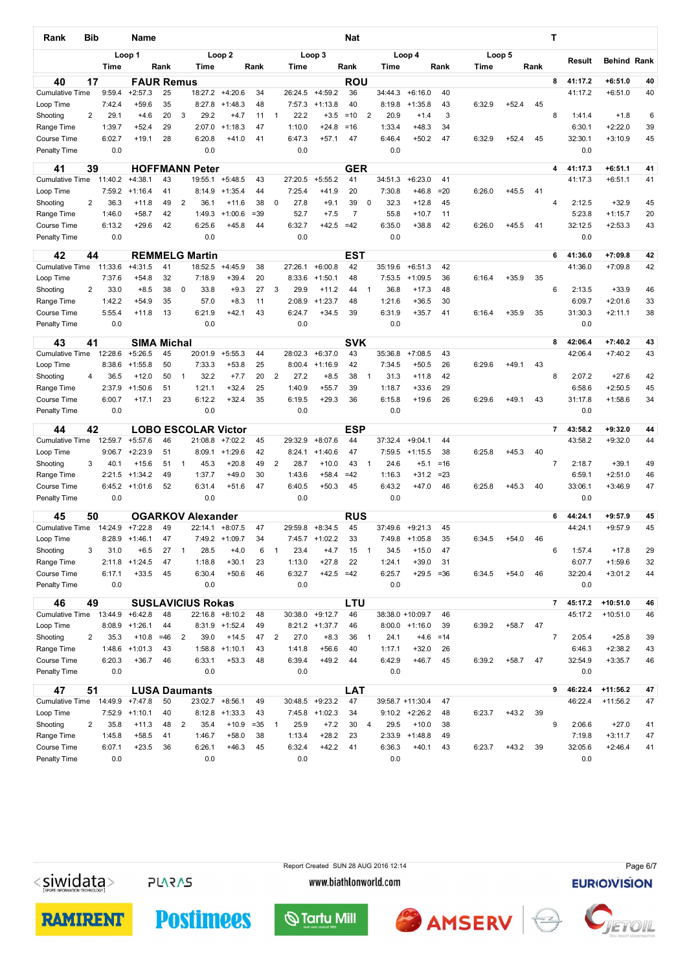| Rank                                | Bib |                   | Name                   |          |                |                            |                        |              |                |                   |                               | <b>Nat</b>              |                |                   |                               |          |             |         |      | т                       |                   |                        |          |
|-------------------------------------|-----|-------------------|------------------------|----------|----------------|----------------------------|------------------------|--------------|----------------|-------------------|-------------------------------|-------------------------|----------------|-------------------|-------------------------------|----------|-------------|---------|------|-------------------------|-------------------|------------------------|----------|
|                                     |     |                   | Loop 1                 |          |                |                            | Loop <sub>2</sub>      |              |                |                   | Loop 3                        |                         |                |                   | Loop 4                        |          |             | Loop 5  |      |                         | Result            | Behind Rank            |          |
|                                     |     | <b>Time</b>       |                        | Rank     |                | Time                       |                        | Rank         |                | Time              |                               | Rank                    |                | <b>Time</b>       |                               | Rank     | <b>Time</b> |         | Rank |                         |                   |                        |          |
| 40                                  | 17  |                   | <b>FAUR Remus</b>      |          |                |                            |                        |              |                |                   |                               | <b>ROU</b>              |                |                   |                               |          |             |         |      | 8                       | 41:17.2           | $+6:51.0$              | 40       |
| <b>Cumulative Time</b>              |     | 9:59.4<br>7:42.4  | $+2:57.3$<br>$+59.6$   | 25<br>35 |                | 18:27.2<br>8:27.8          | $+4:20.6$<br>$+1:48.3$ | 34<br>48     |                | 26:24.5<br>7:57.3 | $+4:59.2$<br>$+1:13.8$        | 36<br>40                |                | 34:44.3<br>8:19.8 | $+6:16.0$<br>$+1:35.8$        | 40<br>43 | 6:32.9      | $+52.4$ | 45   |                         | 41:17.2           | $+6:51.0$              | 40       |
| Loop Time<br>Shooting               | 2   | 29.1              | $+4.6$                 | 20       | 3              | 29.2                       | $+4.7$                 | 11           | $\mathbf{1}$   | 22.2              | $+3.5$                        | $=10$                   | $\overline{2}$ | 20.9              | $+1.4$                        | 3        |             |         |      | 8                       | 1:41.4            | $+1.8$                 | 6        |
| Range Time                          |     | 1:39.7            | $+52.4$                | 29       |                | 2:07.0                     | $+1:18.3$              | 47           |                | 1:10.0            | $+24.8$                       | $= 16$                  |                | 1:33.4            | $+48.3$                       | 34       |             |         |      |                         | 6:30.1            | $+2:22.0$              | 39       |
| Course Time                         |     | 6:02.7            | $+19.1$                | 28       |                | 6:20.8                     | $+41.0$                | 41           |                | 6:47.3            | $+57.1$                       | 47                      |                | 6:46.4            | $+50.2$                       | 47       | 6:32.9      | $+52.4$ | 45   |                         | 32:30.1           | $+3:10.9$              | 45       |
| <b>Penalty Time</b>                 |     | 0.0               |                        |          |                | 0.0                        |                        |              |                | 0.0               |                               |                         |                | 0.0               |                               |          |             |         |      |                         | 0.0               |                        |          |
| 41                                  | 39  |                   |                        |          |                | <b>HOFFMANN Peter</b>      |                        |              |                |                   |                               | <b>GER</b>              |                |                   |                               |          |             |         |      | 4                       | 41:17.3           | $+6:51.1$              | 41       |
| <b>Cumulative Time</b>              |     | 11:40.2           | $+4:38.1$              | 43       |                | 19:55.1                    | $+5:48.5$              | 43           |                | 27:20.5           | $+5:55.2$                     | 41                      |                | 34:51.3           | $+6:23.0$                     | 41       |             |         |      |                         | 41:17.3           | $+6:51.1$              | 41       |
| Loop Time                           |     | 7:59.2            | $+1:16.4$              | 41       |                | 8:14.9                     | $+1:35.4$              | 44           |                | 7:25.4            | $+41.9$                       | 20                      |                | 7:30.8            | $+46.8$                       | $= 20$   | 6:26.0      | $+45.5$ | 41   |                         |                   |                        |          |
| Shooting                            | 2   | 36.3              | $+11.8$                | 49       | $\overline{2}$ | 36.1                       | $+11.6$                | 38           | $\mathbf 0$    | 27.8              | $+9.1$                        | 39                      | $\mathbf 0$    | 32.3              | $+12.8$                       | 45       |             |         |      | 4                       | 2:12.5            | $+32.9$                | 45       |
| Range Time                          |     | 1:46.0<br>6:13.2  | $+58.7$<br>$+29.6$     | 42<br>42 |                | 1:49.3<br>6:25.6           | $+1:00.6$              | $= 39$<br>44 |                | 52.7<br>6:32.7    | $+7.5$<br>$+42.5$             | $\overline{7}$<br>$=42$ |                | 55.8<br>6:35.0    | $+10.7$<br>$+38.8$            | 11<br>42 | 6:26.0      | $+45.5$ | 41   |                         | 5:23.8<br>32:12.5 | $+1:15.7$<br>$+2:53.3$ | 20<br>43 |
| Course Time<br><b>Penalty Time</b>  |     | 0.0               |                        |          |                | 0.0                        | $+45.8$                |              |                | 0.0               |                               |                         |                | 0.0               |                               |          |             |         |      |                         | 0.0               |                        |          |
|                                     |     |                   |                        |          |                |                            |                        |              |                |                   |                               |                         |                |                   |                               |          |             |         |      |                         |                   |                        |          |
| 42<br><b>Cumulative Time</b>        | 44  |                   |                        |          |                | <b>REMMELG Martin</b>      |                        |              |                |                   |                               | <b>EST</b>              |                |                   |                               |          |             |         |      | 6                       | 41:36.0           | $+7:09.8$              | 42       |
| Loop Time                           |     | 11:33.6<br>7:37.6 | $+4:31.5$<br>$+54.8$   | 41<br>32 |                | 18:52.5<br>7:18.9          | $+4:45.9$<br>$+39.4$   | 38<br>20     |                | 27:26.1<br>8:33.6 | $+6:00.8$<br>$+1:50.1$        | 42<br>48                |                | 35:19.6<br>7:53.5 | $+6:51.3$<br>$+1:09.5$        | 42<br>36 | 6:16.4      | $+35.9$ | 35   |                         | 41:36.0           | $+7:09.8$              | 42       |
| Shooting                            | 2   | 33.0              | $+8.5$                 | 38       | 0              | 33.8                       | $+9.3$                 | 27           | 3              | 29.9              | $+11.2$                       | 44                      | $\overline{1}$ | 36.8              | $+17.3$                       | 48       |             |         |      | 6                       | 2:13.5            | $+33.9$                | 46       |
| Range Time                          |     | 1:42.2            | $+54.9$                | 35       |                | 57.0                       | $+8.3$                 | 11           |                | 2:08.9            | $+1:23.7$                     | 48                      |                | 1:21.6            | $+36.5$                       | 30       |             |         |      |                         | 6:09.7            | $+2:01.6$              | 33       |
| Course Time                         |     | 5:55.4            | $+11.8$                | 13       |                | 6:21.9                     | $+42.1$                | 43           |                | 6:24.7            | $+34.5$                       | 39                      |                | 6:31.9            | $+35.7$                       | 41       | 6:16.4      | $+35.9$ | 35   |                         | 31:30.3           | $+2:11.1$              | 38       |
| <b>Penalty Time</b>                 |     | 0.0               |                        |          |                | 0.0                        |                        |              |                | 0.0               |                               |                         |                | 0.0               |                               |          |             |         |      |                         | 0.0               |                        |          |
| 43                                  | 41  |                   | <b>SIMA Michal</b>     |          |                |                            |                        |              |                |                   |                               | <b>SVK</b>              |                |                   |                               |          |             |         |      | 8                       | 42:06.4           | $+7:40.2$              | 43       |
| <b>Cumulative Time</b>              |     | 12:28.6           | $+5:26.5$              | 45       |                | 20:01.9                    | $+5:55.3$              | 44           |                | 28:02.3           | $+6:37.0$                     | 43                      |                | 35:36.8           | $+7:08.5$                     | 43       |             |         |      |                         | 42:06.4           | $+7:40.2$              | 43       |
| Loop Time                           |     | 8:38.6            | $+1:55.8$              | 50       |                | 7:33.3                     | $+53.8$                | 25           |                | 8:00.4            | $+1:16.9$                     | 42                      |                | 7:34.5            | $+50.5$                       | 26       | 6:29.6      | $+49.1$ | 43   |                         |                   |                        |          |
| Shooting                            | 4   | 36.5              | $+12.0$                | 50       | $\mathbf{1}$   | 32.2                       | $+7.7$                 | 20           | $\overline{2}$ | 27.2              | $+8.5$                        | 38                      | $\mathbf{1}$   | 31.3              | $+11.8$                       | 42       |             |         |      | 8                       | 2:07.2            | $+27.6$                | 42       |
| Range Time                          |     | 2:37.9            | $+1:50.6$              | 51       |                | 1:21.1                     | $+32.4$                | 25<br>35     |                | 1:40.9            | $+55.7$                       | 39                      |                | 1:18.7            | $+33.6$                       | 29<br>26 |             |         |      |                         | 6:58.6            | $+2:50.5$              | 45       |
| Course Time<br><b>Penalty Time</b>  |     | 6:00.7<br>0.0     | $+17.1$                | 23       |                | 6:12.2<br>0.0              | $+32.4$                |              |                | 6:19.5<br>0.0     | $+29.3$                       | 36                      |                | 6:15.8<br>0.0     | $+19.6$                       |          | 6:29.6      | $+49.1$ | 43   |                         | 31:17.8<br>0.0    | $+1:58.6$              | 34       |
|                                     |     |                   |                        |          |                |                            |                        |              |                |                   |                               |                         |                |                   |                               |          |             |         |      |                         |                   |                        |          |
| 44                                  | 42  |                   |                        |          |                | <b>LOBO ESCOLAR Victor</b> |                        |              |                |                   |                               | <b>ESP</b>              |                |                   | $+9:04.1$                     |          |             |         |      | $\overline{7}$          | 43:58.2           | +9:32.0                | 44       |
| <b>Cumulative Time</b><br>Loop Time |     | 12:59.7<br>9:06.7 | $+5:57.6$<br>$+2:23.9$ | 46<br>51 |                | 21:08.8<br>8:09.1          | $+7:02.2$<br>$+1:29.6$ | 45<br>42     |                | 29:32.9<br>8:24.1 | $+8:07.6$<br>$+1:40.6$        | 44<br>47                |                | 37:32.4<br>7:59.5 | $+1:15.5$                     | 44<br>38 | 6:25.8      | $+45.3$ | 40   |                         | 43:58.2           | $+9:32.0$              | 44       |
| Shooting                            | 3   | 40.1              | $+15.6$                | 51       | $\mathbf{1}$   | 45.3                       | $+20.8$                | 49           | $\overline{2}$ | 28.7              | $+10.0$                       | 43                      | $\mathbf{1}$   | 24.6              | $+5.1$                        | $=16$    |             |         |      | $\overline{7}$          | 2:18.7            | $+39.1$                | 49       |
| Range Time                          |     | 2:21.5            | $+1:34.2$              | 49       |                | 1:37.7                     | $+49.0$                | 30           |                | 1:43.6            | $+58.4$                       | $=42$                   |                | 1:16.3            | $+31.2$                       | $= 23$   |             |         |      |                         | 6:59.1            | $+2:51.0$              | 46       |
| Course Time                         |     | 6:45.2            | $+1:01.6$              | 52       |                | 6:31.4                     | $+51.6$                | 47           |                | 6:40.5            | $+50.3$                       | 45                      |                | 6:43.2            | $+47.0$                       | 46       | 6:25.8      | $+45.3$ | 40   |                         | 33:06.1           | $+3:46.9$              | 47       |
| <b>Penalty Time</b>                 |     | 0.0               |                        |          |                | 0.0                        |                        |              |                | 0.0               |                               |                         |                | 0.0               |                               |          |             |         |      |                         | 0.0               |                        |          |
| 45                                  | 50  |                   |                        |          |                | <b>OGARKOV Alexander</b>   |                        |              |                |                   |                               | <b>RUS</b>              |                |                   |                               |          |             |         |      | 6                       | 44:24.1           | +9:57.9                | 45       |
| <b>Cumulative Time</b>              |     | 14:24.9           | $+7:22.8$              | 49       |                | 22:14.1                    | $+8:07.5$              | 47           |                | 29:59.8           | $+8:34.5$                     | 45                      |                | 37:49.6           | $+9:21.3$                     | 45       |             |         |      |                         | 44:24.1           | $+9:57.9$              | 45       |
| Loop Time                           |     | 8:28.9            | $+1:46.1$              | 47       |                |                            | 7:49.2 +1:09.7         | 34           |                |                   | 7:45.7 +1:02.2                | 33                      |                | 7:49.8            | $+1:05.8$                     | 35       | 6:34.5      | $+54.0$ | 46   |                         |                   |                        |          |
| Shooting                            | 3   | 31.0              | $+6.5$                 | 27       | $\mathbf{1}$   | 28.5                       | $+4.0$                 | 6            | $\mathbf{1}$   | 23.4              | $+4.7$                        | 15                      | $\mathbf{1}$   | 34.5              | $+15.0$                       | 47       |             |         |      | 6                       | 1:57.4            | $+17.8$                | 29       |
| Range Time                          |     | 2:11.8            | $+1:24.5$              | 47       |                | 1:18.8                     | $+30.1$                | 23           |                | 1:13.0            | $+27.8$                       | 22                      |                | 1:24.1            | $+39.0$                       | 31       |             |         |      |                         | 6:07.7            | $+1:59.6$              | 32       |
| <b>Course Time</b><br>Penalty Time  |     | 6:17.1<br>0.0     | $+33.5$                | 45       |                | 6:30.4<br>0.0              | $+50.6$                | 46           |                | 6:32.7<br>0.0     | $+42.5 = 42$                  |                         |                | 6:25.7<br>0.0     | $+29.5 = 36$                  |          | 6:34.5      | $+54.0$ | 46   |                         | 32:20.4<br>0.0    | $+3:01.2$              | 44       |
|                                     |     |                   |                        |          |                |                            |                        |              |                |                   |                               |                         |                |                   |                               |          |             |         |      |                         |                   |                        |          |
| 46<br><b>Cumulative Time</b>        | 49  |                   |                        |          |                | <b>SUSLAVICIUS Rokas</b>   | $22:16.8$ +8:10.2      |              |                |                   |                               | LTU                     |                |                   |                               |          |             |         |      | $\overline{\mathbf{r}}$ | 45:17.2           | $+10:51.0$             | 46       |
| Loop Time                           |     | 13:44.9<br>8:08.9 | $+6:42.8$<br>$+1:26.1$ | 48<br>44 |                |                            | $8:31.9$ +1:52.4       | 48<br>49     |                | 30:38.0           | $+9:12.7$<br>$8:21.2$ +1:37.7 | 46<br>46                |                | 8:00.0            | 38:38.0 +10:09.7<br>$+1:16.0$ | 46<br>39 | 6:39.2      | $+58.7$ | 47   |                         | 45:17.2           | $+10:51.0$             | 46       |
| Shooting                            | 2   | 35.3              | $+10.8$                | $=46$    | $\overline{2}$ | 39.0                       | $+14.5$                | 47           | $\overline{c}$ | 27.0              | $+8.3$                        | 36                      | $\mathbf{1}$   | 24.1              | $+4.6$                        | $=14$    |             |         |      | $\overline{7}$          | 2:05.4            | $+25.8$                | 39       |
| Range Time                          |     | 1:48.6            | $+1:01.3$              | 43       |                |                            | $1:58.8$ +1:10.1       | 43           |                | 1:41.8            | $+56.6$                       | 40                      |                | 1:17.1            | $+32.0$                       | 26       |             |         |      |                         | 6:46.3            | $+2:38.2$              | 43       |
| Course Time                         |     | 6:20.3            | $+36.7$                | 46       |                | 6:33.1                     | $+53.3$                | 48           |                | 6:39.4            | $+49.2$                       | 44                      |                | 6:42.9            | $+46.7$                       | 45       | 6:39.2      | $+58.7$ | 47   |                         | 32:54.9           | $+3:35.7$              | 46       |
| Penalty Time                        |     | 0.0               |                        |          |                | 0.0                        |                        |              |                | 0.0               |                               |                         |                | 0.0               |                               |          |             |         |      |                         | 0.0               |                        |          |
| 47                                  | 51  |                   |                        |          |                | <b>LUSA Daumants</b>       |                        |              |                |                   |                               | <b>LAT</b>              |                |                   |                               |          |             |         |      | 9                       | 46:22.4           | $+11:56.2$             | 47       |
| <b>Cumulative Time</b>              |     | 14:49.9           | $+7:47.8$              | 50       |                | 23:02.7                    | $+8:56.1$              | 49           |                | 30:48.5           | $+9:23.2$                     | 47                      |                |                   | 39:58.7 +11:30.4              | 47       |             |         |      |                         | 46:22.4           | $+11:56.2$             | 47       |
| Loop Time                           |     | 7:52.9            | $+1:10.1$              | 40       |                |                            | $8:12.8$ +1:33.3       | 43           |                |                   | $7:45.8$ +1:02.3              | 34                      |                |                   | $9:10.2 +2:26.2$              | 48       | 6:23.7      | $+43.2$ | 39   |                         |                   |                        |          |
| Shooting                            | 2   | 35.8              | $+11.3$                | 48       | $\overline{2}$ | 35.4                       | $+10.9$                | $= 35$       | $\mathbf{1}$   | 25.9              | $+7.2$                        | 30                      | 4              | 29.5              | $+10.0$                       | 38       |             |         |      | 9                       | 2:06.6            | $+27.0$                | 41       |
| Range Time                          |     | 1:45.8            | $+58.5$                | 41       |                | 1:46.7                     | $+58.0$                | 38           |                | 1:13.4            | $+28.2$                       | 23                      |                | 2:33.9            | $+1:48.8$                     | 49       |             |         |      |                         | 7:19.8            | $+3:11.7$              | 47       |
| Course Time<br><b>Penalty Time</b>  |     | 6:07.1<br>0.0     | $+23.5$                | 36       |                | 6:26.1<br>0.0              | $+46.3$                | 45           |                | 6:32.4<br>0.0     | $+42.2$                       | 41                      |                | 6:36.3<br>0.0     | $+40.1$                       | 43       | 6:23.7      | $+43.2$ | 39   |                         | 32:05.6<br>0.0    | $+2:46.4$              | 41       |
|                                     |     |                   |                        |          |                |                            |                        |              |                |                   |                               |                         |                |                   |                               |          |             |         |      |                         |                   |                        |          |

**RAMIRENT** 

**PLARAS** 

Report Created SUN 28 AUG 2016 12:14

# Page 6/7**EURIOVISION**



www.biathlonworld.com

**Postimees** *<u>Middle</u>*